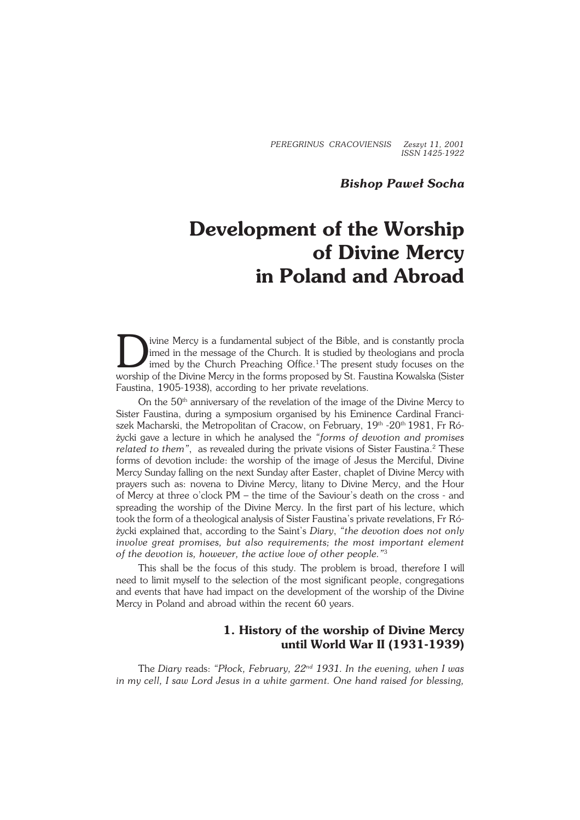*PEREGRINUS CRACOVIENSIS Zeszyt 11, 2001 ISSN 1425−1922*

# *Bishop Paweł Socha*

# **Development of the Worship of Divine Mercy in Poland and Abroad**

D ivine Mercy is a fundamental subject of the Bible, and is constantly procla imed in the message of the Church. It is studied by theologians and procla imed by the Church Preaching Office.<sup>1</sup>The present study focuses on the worship of the Divine Mercy in the forms proposed by St. Faustina Kowalska (Sister Faustina, 1905−1938), according to her private revelations.

On the 50<sup>th</sup> anniversary of the revelation of the image of the Divine Mercy to Sister Faustina, during a symposium organised by his Eminence Cardinal Franci− szek Macharski, the Metropolitan of Cracow, on February, 19<sup>th</sup> -20<sup>th</sup> 1981, Fr Różycki gave a lecture in which he analysed the *"forms of devotion and promises* related to them", as revealed during the private visions of Sister Faustina.<sup>2</sup> These forms of devotion include: the worship of the image of Jesus the Merciful, Divine Mercy Sunday falling on the next Sunday after Easter, chaplet of Divine Mercy with prayers such as: novena to Divine Mercy, litany to Divine Mercy, and the Hour ofMercy at three o'clock PM – the time of the Saviour's death on the cross − and spreading the worship of the Divine Mercy. In the first part of his lecture, which took the form of a theological analysis of Sister Faustina's private revelations, Fr Różycki explained that, according to the Saint's *Diary*, *"the devotion does not only involve great promises, but also requirements; the most important element* of the devotion is, however, the active love of other people."<sup>3</sup>

This shall be the focus of this study. The problem is broad, therefore I will need to limit myself to the selection of the most significant people, congregations and events that have had impact on the development of the worship of the Divine Mercy in Poland and abroad within the recent 60 years.

# **1. History of the worship of Divine Mercy until World War II (1931−1939)**

The *Diary* reads: *"Płock, February, 22nd 1931. In the evening, when I was inmy cell, I saw Lord Jesus in a white garment. One hand raised for blessing,*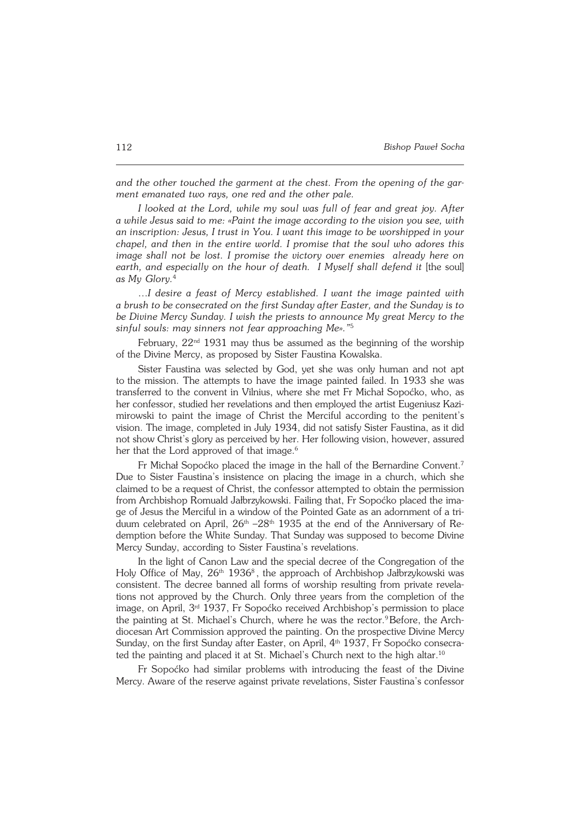*and the other touched the garment at the chest. From the opening of the gar− ment emanated two rays, one red and the other pale.*

*I looked at the Lord, while my soul was full of fear and great joy. After awhile Jesus said to me: «Paint the image according to the vision you see, with an inscription: Jesus, I trust in You. I want this image to be worshipped in your chapel, and then in the entire world. I promise that the soul who adores this image shall not be lost. I promise the victory over enemies already here on* earth, and especially on the hour of death. I Myself shall defend it [the soul] *asMy Glory.*<sup>4</sup>

…*I desire a feast of Mercy established. I want the image painted with abrush to be consecrated on the first Sunday after Easter, and the Sunday is to be Divine Mercy Sunday. I wish the priests to announce My great Mercy to the sinful souls: may sinners not fear approaching Me»."*<sup>5</sup>

February,  $22<sup>nd</sup> 1931$  may thus be assumed as the beginning of the worship of the Divine Mercy, as proposed by Sister Faustina Kowalska.

Sister Faustina was selected by God, yet she was only human and not apt to the mission. The attempts to have the image painted failed. In 1933 she was transferred to the convent in Vilnius, where she met Fr Michał Sopoćko, who, as her confessor, studied her revelations and then employed the artist Eugeniusz Kazi− mirowski to paint the image of Christ the Merciful according to the penitent's vision. The image, completed in July 1934, did not satisfy Sister Faustina, as it did not show Christ's glory as perceived by her. Her following vision, however, assured her that the Lord approved of that image.<sup>6</sup>

Fr Michał Sopoćko placed the image in the hall of the Bernardine Convent.<sup>7</sup> Due to Sister Faustina's insistence on placing the image in a church, which she claimed to be a request of Christ, the confessor attempted to obtain the permission from Archbishop Romuald Jałbrzykowski. Failing that, Fr Sopoćko placed the ima− ge of Jesus the Merciful in a window of the Pointed Gate as an adornment of a tri− duum celebrated on April, 26<sup>th</sup> –28<sup>th</sup> 1935 at the end of the Anniversary of Re− demption before the White Sunday. That Sunday was supposed to become Divine Mercy Sunday, according to Sister Faustina's revelations.

In the light of Canon Law and the special decree of the Congregation of the Holy Office of May, 26<sup>th</sup> 1936<sup>8</sup>, the approach of Archbishop Jałbrzykowski was consistent. The decree banned all forms of worship resulting from private revela− tions not approved by the Church. Only three years from the completion of the image, on April, 3rd 1937, Fr Sopoćko received Archbishop's permission to place the painting at St. Michael's Church, where he was the rector.<sup>9</sup>Before, the Archdiocesan Art Commission approved the painting. On the prospective Divine Mercy Sunday, on the first Sunday after Easter, on April, 4<sup>th</sup> 1937, Fr Sopoćko consecrated the painting and placed it at St. Michael's Church next to the high altar.<sup>10</sup>

Fr Sopoćko had similar problems with introducing the feast of the Divine Mercy. Aware of the reserve against private revelations, Sister Faustina's confessor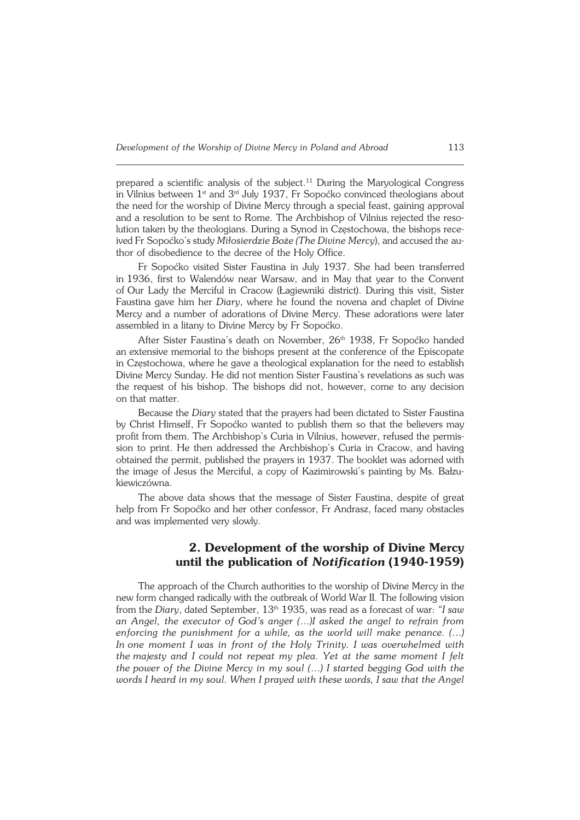prepared a scientific analysis of the subject.<sup>11</sup> During the Maryological Congress in Vilnius between  $1<sup>st</sup>$  and  $3<sup>rd</sup>$  July 1937, Fr Sopoćko convinced theologians about the need for the worship of Divine Mercy through a special feast, gaining approval and a resolution to be sent to Rome. The Archbishop of Vilnius rejected the reso− lution taken by the theologians. During a Synod in Częstochowa, the bishops rece− ived Fr Sopoćko's study Miłosierdzie Boże (The Divine Mercy), and accused the author of disobedience to the decree of the Holy Office.

Fr Sopoćko visited Sister Faustina in July 1937. She had been transferred in1936, first to Walendów near Warsaw, and in May that year to the Convent ofOur Lady the Merciful in Cracow (Łagiewniki district). During this visit, Sister Faustina gave him her *Diary*, where he found the novena and chaplet of Divine Mercy and a number of adorations of Divine Mercy. These adorations were later assembled in a litany to Divine Mercy by Fr Sopoćko.

After Sister Faustina's death on November, 26<sup>th</sup> 1938, Fr Sopoćko handed an extensive memorial to the bishops present at the conference of the Episcopate in Częstochowa, where he gave a theological explanation for the need to establish Divine Mercy Sunday. He did not mention Sister Faustina's revelations as such was the request of his bishop. The bishops did not, however, come to any decision on that matter.

Because the *Diary* stated that the prayers had been dictated to Sister Faustina by Christ Himself, Fr Sopoćko wanted to publish them so that the believers may profit from them. The Archbishop's Curia in Vilnius, however, refused the permis− sion to print. He then addressed the Archbishop's Curia in Cracow, and having obtained the permit, published the prayers in 1937. The booklet was adorned with the image of Jesus the Merciful, a copy of Kazimirowski's painting by Ms. Bałzu− kiewiczówna.

The above data shows that the message of Sister Faustina, despite of great help from Fr Sopoćko and her other confessor, Fr Andrasz, faced many obstacles and was implemented very slowly.

# **2. Development of the worship of Divine Mercy until the publication of** *Notification* **(1940−1959)**

The approach of the Church authorities to the worship of Divine Mercy in the new form changed radically with the outbreak of World War II. The following vision from the *Diary*, dated September, 13th 1935, was read as a forecast of war: *"I saw an Angel, the executor of God's anger (…)I asked the angel to refrain from enforcing the punishment for a while, as the world will make penance. (…) Inone moment I was in front of the Holy Trinity. I was overwhelmed with themajesty and I could not repeat my plea. Yet at the same moment I felt the power of the Divine Mercy in my soul (...) I started begging God with the words Iheard in my soul. When I prayed with these words, I saw that the Angel*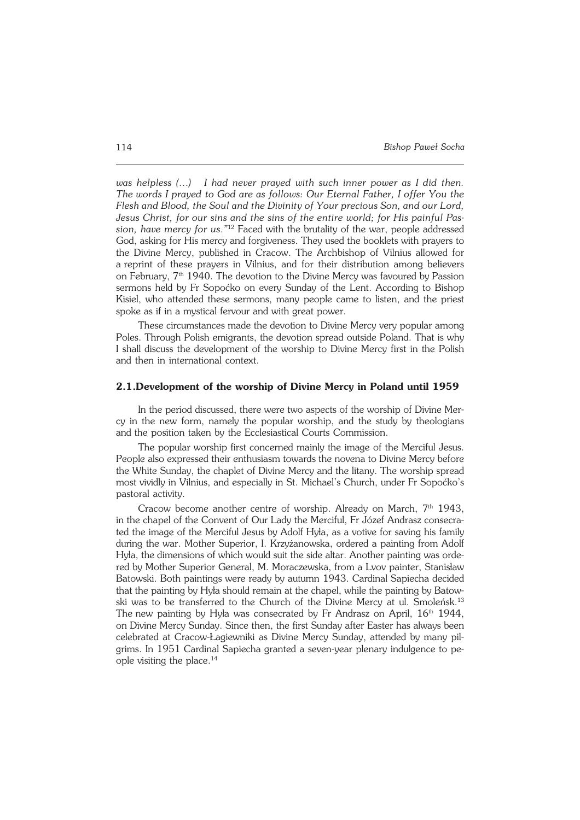*was helpless (…) I had never prayed with such inner power as I did then. The words I prayed to God are as follows: Our Eternal Father, I offer You the Flesh and Blood, the Soul and the Divinity of Your precious Son, and our Lord, Jesus Christ, for our sins and the sins of the entire world; for His painful Pas− sion, have mercy for us*.*"* <sup>12</sup> Faced with the brutality of the war, people addressed God, asking for His mercy and forgiveness. They used the booklets with prayers to the Divine Mercy, published in Cracow. The Archbishop of Vilnius allowed for areprint of these prayers in Vilnius, and for their distribution among believers on February,  $7<sup>th</sup>$  1940. The devotion to the Divine Mercy was favoured by Passion sermons held by Fr Sopoćko on every Sunday of the Lent. According to Bishop Kisiel, who attended these sermons, many people came to listen, and the priest spoke as if in a mystical fervour and with great power.

These circumstances made the devotion to Divine Mercy very popular among Poles. Through Polish emigrants, the devotion spread outside Poland. That is why I shall discuss the development of the worship to Divine Mercy first in the Polish and then in international context.

#### **2.1.Development of the worship of Divine Mercy in Poland until 1959**

In the period discussed, there were two aspects of the worship of Divine Mer− cy in the new form, namely the popular worship, and the study by theologians and the position taken by the Ecclesiastical Courts Commission.

The popular worship first concerned mainly the image of the Merciful Jesus. People also expressed their enthusiasm towards the novena to Divine Mercy before the White Sunday, the chaplet of Divine Mercy and the litany. The worship spread most vividly in Vilnius, and especially in St. Michael's Church, under Fr Sopoćko's pastoral activity.

Cracow become another centre of worship. Already on March,  $7<sup>th</sup>$  1943, in the chapel of the Convent of Our Lady the Merciful, Fr Józef Andrasz consecrated the image of the Merciful Jesus by Adolf Hyła, as a votive for saving his family during the war. Mother Superior, I. Krzyżanowska, ordered a painting from Adolf Hyła, the dimensions of which would suit the side altar. Another painting was orde− red by Mother Superior General, M. Moraczewska, from a Lvov painter, Stanisław Batowski. Both paintings were ready by autumn 1943. Cardinal Sapiecha decided that the painting by Hyła should remain at the chapel, while the painting by Batow− ski was to be transferred to the Church of the Divine Mercy at ul. Smoleńsk.<sup>13</sup> The new painting by Hyła was consecrated by Fr Andrasz on April,  $16<sup>th</sup> 1944$ , on Divine Mercy Sunday. Since then, the first Sunday after Easter has always been celebrated at Cracow−Łagiewniki as Divine Mercy Sunday, attended by many pil− grims. In 1951 Cardinal Sapiecha granted a seven-year plenary indulgence to people visiting the place. $14$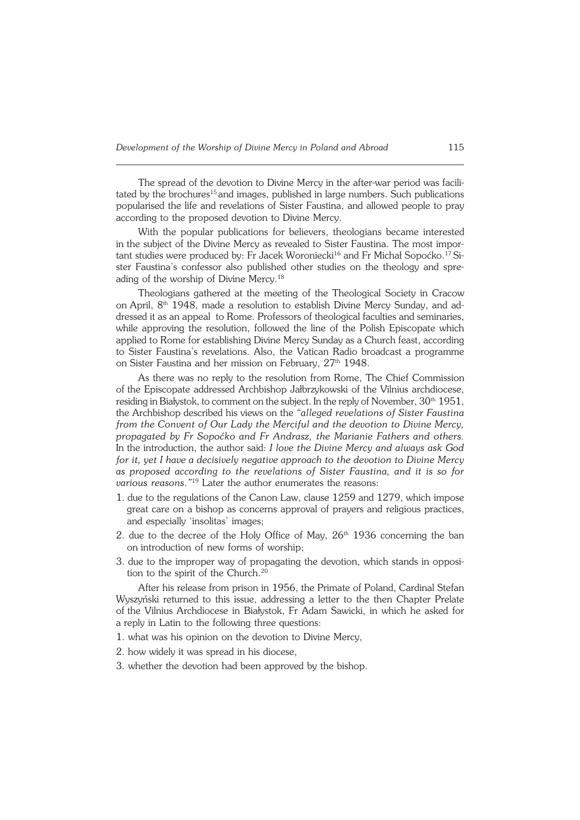The spread of the devotion to Divine Mercy in the after-war period was facili− tated by the brochures<sup>15</sup> and images, published in large numbers. Such publications popularised the life and revelations of Sister Faustina, and allowed people to pray according to the proposed devotion to Divine Mercy.

With the popular publications for believers, theologians became interested inthe subject of the Divine Mercy as revealed to Sister Faustina. The most impor− tant studies were produced by: Fr Jacek Woroniecki<sup>16</sup> and Fr Michał Sopoćko.<sup>17</sup> Sister Faustina's confessor also published other studies on the theology and spre− ading of the worship of Divine Mercy.<sup>18</sup>

Theologians gathered at the meeting of the Theological Society in Cracow on April, 8<sup>th</sup> 1948, made a resolution to establish Divine Mercy Sunday, and addressed it as an appeal to Rome. Professors of theological faculties and seminaries, while approving the resolution, followed the line of the Polish Episcopate which applied to Rome for establishing Divine Mercy Sunday as a Church feast, according to Sister Faustina's revelations. Also, the Vatican Radio broadcast a programme on Sister Faustina and her mission on February, 27<sup>th</sup> 1948.

As there was no reply to the resolution from Rome, The Chief Commission ofthe Episcopate addressed Archbishop Jałbrzykowski of the Vilnius archdiocese, residing in Białystok, to comment on the subject. In the reply of November,  $30<sup>th</sup>1951$ , the Archbishop described his views on the *"alleged revelations of Sister Faustina from the Convent of Our Lady the Merciful and the devotion to Divine Mercy, propagated by Fr Sopoćko and Fr Andrasz, the Marianie Fathers and others.* In the introduction, the author said: *I love the Divine Mercy and always ask God for it, yet I have a decisively negative approach to the devotion to Divine Mercy as proposed according to the revelations of Sister Faustina, and it is so for various reasons*.*"* <sup>19</sup> Later the author enumerates the reasons:

- 1. due to the regulations of the Canon Law, clause 1259 and 1279, which impose great care on a bishop as concerns approval of prayers and religious practices, and especially 'insolitas' images;
- 2. due to the decree of the Holy Office of May,  $26<sup>th</sup>$  1936 concerning the ban on introduction of new forms of worship;
- 3. due to the improper way of propagating the devotion, which stands in opposi− tion to the spirit of the Church.<sup>20</sup>

After his release from prison in 1956, the Primate of Poland, Cardinal Stefan Wyszyński returned to this issue, addressing a letter to the then Chapter Prelate ofthe Vilnius Archdiocese in Białystok, Fr Adam Sawicki, in which he asked for a reply in Latin to the following three questions:

- 1. what was his opinion on the devotion to Divine Mercy,
- 2. how widely it was spread in his diocese,
- 3. whether the devotion had been approved by the bishop.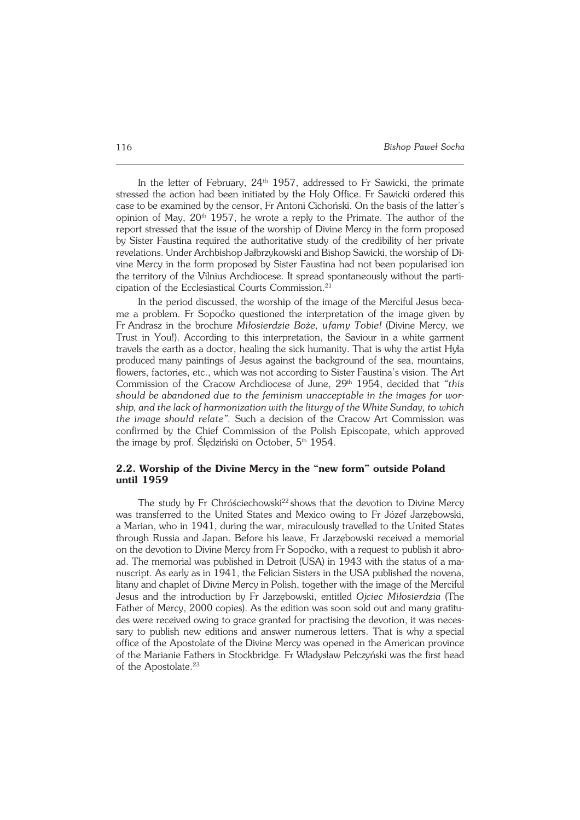In the letter of February,  $24<sup>th</sup>$  1957, addressed to Fr Sawicki, the primate stressed the action had been initiated by the Holy Office. Fr Sawicki ordered this case to be examined by the censor, Fr Antoni Cichoński. On the basis of the latter's opinion of May,  $20<sup>th</sup>$  1957, he wrote a reply to the Primate. The author of the report stressed that the issue of the worship of Divine Mercy in the form proposed by Sister Faustina required the authoritative study of the credibility of her private revelations. Under Archbishop Jałbrzykowski and Bishop Sawicki, the worship of Di− vine Mercy in the form proposed by Sister Faustina had not been popularised ion the territory of the Vilnius Archdiocese. It spread spontaneously without the parti− cipation of the Ecclesiastical Courts Commission.<sup>21</sup>

In the period discussed, the worship of the image of the Merciful Jesus beca− me a problem. Fr Sopoćko questioned the interpretation of the image given by FrAndrasz in the brochure *Miłosierdzie Boże, ufamy Tobie!* (Divine Mercy, we Trust in You!). According to this interpretation, the Saviour in a white garment travels the earth as a doctor, healing the sick humanity. That is why the artist Hyła produced many paintings of Jesus against the background of the sea, mountains, flowers, factories, etc., which was not according to Sister Faustina's vision. The Art Commission of the Cracow Archdiocese of June, 29<sup>th</sup> 1954, decided that "this *should be abandoned due to the feminism unacceptable in the images for wor− ship, and the lack of harmonization with the liturgy of the White Sunday, towhich the image should relate".* Such a decision of the Cracow Art Commission was confirmed by the Chief Commission of the Polish Episcopate, which approved the image by prof. Ślędziński on October,  $5<sup>th</sup>$  1954.

### **2.2. Worship of the Divine Mercy in the "new form" outside Poland until 1959**

The study by Fr Chróściechowski<sup>22</sup> shows that the devotion to Divine Mercy was transferred to the United States and Mexico owing to Fr Józef Jarzębowski, a Marian, who in 1941, during the war, miraculously travelled to the United States through Russia and Japan. Before his leave, Fr Jarzębowski received a memorial on the devotion to Divine Mercy from Fr Sopoćko, with a request to publish it abro− ad. The memorial was published in Detroit (USA) in 1943 with the status of a manuscript. As early as in 1941, the Felician Sisters in the USA published the novena, litany and chaplet of Divine Mercy in Polish, together with the image of the Merciful Jesus and the introduction by Fr Jarzębowski, entitled *Ojciec Miłosierdzia* (The Father of Mercy, 2000 copies). As the edition was soon sold out and many gratitu− des were received owing to grace granted for practising the devotion, it was neces− sary to publish new editions and answer numerous letters. That is why aspecial office of the Apostolate of the Divine Mercy was opened in the American province of the Marianie Fathers in Stockbridge. Fr Władysław Pełczyński was the first head of the Apostolate.<sup>23</sup>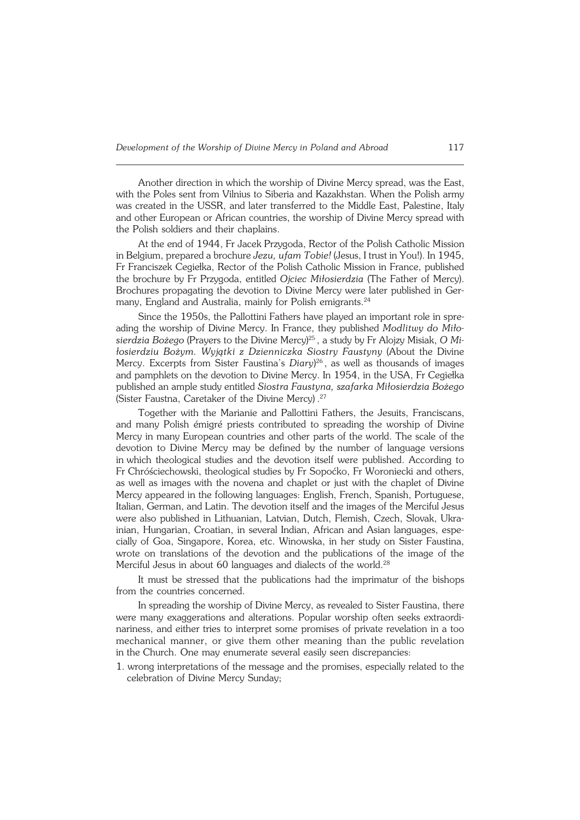Another direction in which the worship of Divine Mercy spread, was the East, with the Poles sent from Vilnius to Siberia and Kazakhstan. When the Polish army was created in the USSR, and later transferred to the Middle East, Palestine, Italy and other European or African countries, the worship of Divine Mercy spread with the Polish soldiers and their chaplains.

At the end of 1944, Fr Jacek Przygoda, Rector of the Polish Catholic Mission in Belgium, prepared a brochure *Jezu, ufam Tobie!* (Jesus, I trust in You!). In 1945, Fr Franciszek Cegiełka, Rector of the Polish Catholic Mission in France, published the brochure by Fr Przygoda, entitled *Ojciec Miłosierdzia* (The Father of Mercy). Brochures propagating the devotion to Divine Mercy were later published in Ger− many, England and Australia, mainly for Polish emigrants.<sup>24</sup>

Since the 1950s, the Pallottini Fathers have played an important role in spre− ading the worship of Divine Mercy. In France, they published *Modlitwy do Miło− sierdzia Bożego* (Prayers to the Divine Mercy)<sup>25</sup> , a study by Fr Alojzy Misiak, *OMi− łosierdziu Bożym. Wyjątki z Dzienniczka Siostry Faustyny* (About the Divine Mercy. Excerpts from Sister Faustina's *Diary*) <sup>26</sup> , as well as thousands of images and pamphlets on the devotion to Divine Mercy. In 1954, in the USA, Fr Cegiełka published an ample study entitled *Siostra Faustyna, szafarka Miłosierdzia Bożego* (Sister Faustna, Caretaker of the Divine Mercy).<sup>27</sup>

Together with the Marianie and Pallottini Fathers, the Jesuits, Franciscans, and many Polish émigré priests contributed to spreading the worship of Divine Mercy in many European countries and other parts of the world. The scale of the devotion to Divine Mercy may be defined by the number of language versions inwhich theological studies and the devotion itself were published. According to FrChróściechowski, theological studies by Fr Sopoćko, Fr Woroniecki and others, as well as images with the novena and chaplet or just with the chaplet of Divine Mercy appeared in the following languages: English, French, Spanish, Portuguese, Italian, German, and Latin. The devotion itself and the images of the Merciful Jesus were also published in Lithuanian, Latvian, Dutch, Flemish, Czech, Slovak, Ukra− inian, Hungarian, Croatian, in several Indian, African and Asian languages, espe− cially of Goa, Singapore, Korea, etc. Winowska, in her study on Sister Faustina, wrote on translations of the devotion and the publications of the image of the Merciful Jesus in about 60 languages and dialects of the world.<sup>28</sup>

It must be stressed that the publications had the imprimatur of the bishops from the countries concerned.

In spreading the worship of Divine Mercy, as revealed to Sister Faustina, there were many exaggerations and alterations. Popular worship often seeks extraordi− nariness, and either tries to interpret some promises of private revelation in a too mechanical manner, or give them other meaning than the public revelation in the Church. One may enumerate several easily seen discrepancies:

1. wrong interpretations of the message and the promises, especially related to the celebration of Divine Mercy Sunday;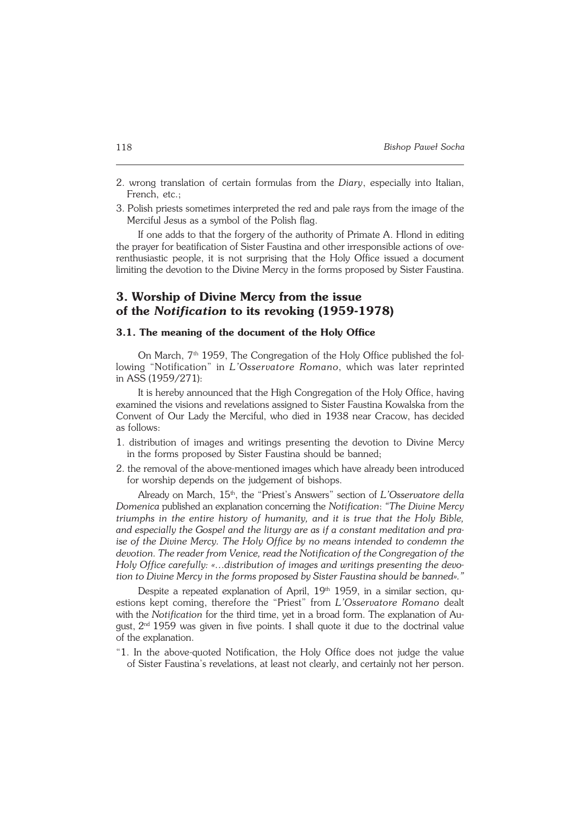- 2. wrong translation of certain formulas from the *Diary*, especially into Italian, French, etc.;
- 3. Polish priests sometimes interpreted the red and pale rays from the image of the Merciful Jesus as a symbol of the Polish flag.

If one adds to that the forgery of the authority of Primate A. Hlond in editing the prayer for beatification of Sister Faustina and other irresponsible actions of ove− renthusiastic people, it is not surprising that the Holy Office issued a document limiting the devotion to the Divine Mercy in the forms proposed by Sister Faustina.

# **3. Worship of Divine Mercy from the issue of the** *Notification* **to its revoking (1959−1978)**

#### **3.1. The meaning of the document of the Holy Office**

On March, 7<sup>th</sup> 1959, The Congregation of the Holy Office published the fol− lowing "Notification" in *L'Osservatore Romano*, which was later reprinted inASS(1959/271):

It is hereby announced that the High Congregation of the Holy Office, having examined the visions and revelations assigned to Sister Faustina Kowalska from the Convent of Our Lady the Merciful, who died in 1938 near Cracow, has decided as follows:

- 1. distribution of images and writings presenting the devotion to Divine Mercy in the forms proposed by Sister Faustina should be banned;
- 2. the removal of the above−mentioned images which have already been introduced for worship depends on the judgement of bishops.

Already on March, 15<sup>th</sup>, the "Priest's Answers" section of *L'Osservatore della Domenica* published an explanation concerning the *Notification*: *"The Divine Mercy triumphs in the entire history of humanity, and it is true that the Holy Bible, and especially the Gospel and the liturgy are as if a constant meditation and praise of the Divine Mercy. The Holy Office by no means intended to condemn the* devotion. The reader from Venice, read the Notification of the Congregation of the *Holy Office carefully: «…distribution of images and writings presenting the devo− tion to Divine Mercy in the forms proposed by Sister Faustina should be banned»."*

Despite a repeated explanation of April, 19<sup>th</sup> 1959, in a similar section, questions kept coming, therefore the "Priest" from *L'Osservatore Romano* dealt with the *Notification* for the third time, yet in a broad form. The explanation of August,  $2<sup>nd</sup>1959$  was given in five points. I shall quote it due to the doctrinal value of the explanation.

"1. In the above−quoted Notification, the Holy Office does not judge the value of Sister Faustina's revelations, at least not clearly, and certainly not her person.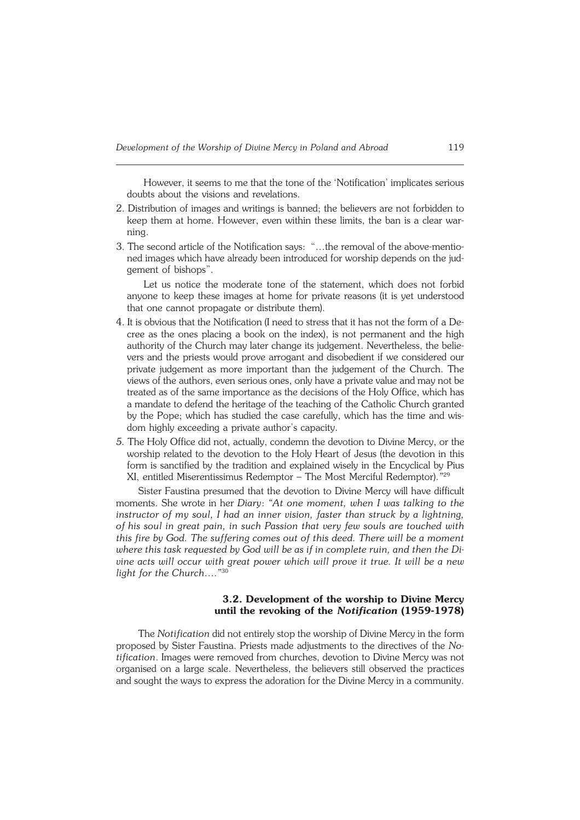However, it seems to me that the tone of the 'Notification' implicates serious doubts about the visions and revelations.

- 2. Distribution of images and writings is banned; the believers are not forbidden to keep them at home. However, even within these limits, the ban is a clear war− ning.
- 3. The second article of the Notification says: "…the removal of the above−mentio− ned images which have already been introduced for worship depends on the judgement of bishops".

Let us notice the moderate tone of the statement, which does not forbid anyone to keep these images at home for private reasons (it is yet understood that one cannot propagate or distribute them).

- 4. It is obvious that the Notification (I need to stress that it has not the form of a De− cree as the ones placing a book on the index), is not permanent and the high authority of the Church may later change its judgement. Nevertheless, the belie− vers and the priests would prove arrogant and disobedient if we considered our private judgement as more important than the judgement of the Church. The views of the authors, even serious ones, only have a private value and may not be treated as of the same importance as the decisions of the Holy Office, which has a mandate to defend the heritage of the teaching of the Catholic Church granted by the Pope; which has studied the case carefully, which has the time and wis− dom highly exceeding a private author's capacity.
- *5.* The Holy Office did not, actually, condemn the devotion to Divine Mercy, or the worship related to the devotion to the Holy Heart of Jesus (the devotion in this form is sanctified by the tradition and explained wisely in the Encyclical by Pius XI, entitled Miserentissimus Redemptor – The Most Merciful Redemptor).*"* 29

Sister Faustina presumed that the devotion to Divine Mercy will have difficult moments. She wrote in her *Diary*: *"At one moment, when I was talking to the instructor of my soul, I had an inner vision, faster than struck by a lightning, ofhis soul in great pain, in such Passion that very few souls are touched with this fire by God. The suffering comes out of this deed. There will be a moment where this task requested by God will be as if in complete ruin, and then theDi− vine acts will occur with great power which will prove it true. It will be a new light for the Church…*.*"* 30

#### **3.2. Development of the worship to Divine Mercy until the revoking of the** *Notification* **(1959−1978)**

The *Notification* did not entirely stop the worship of Divine Mercy in the form proposed by Sister Faustina. Priests made adjustments to the directives of the *No− tification*. Images were removed from churches, devotion to Divine Mercy was not organised on a large scale. Nevertheless, the believers still observed the practices and sought the ways to express the adoration for the Divine Mercy in a community.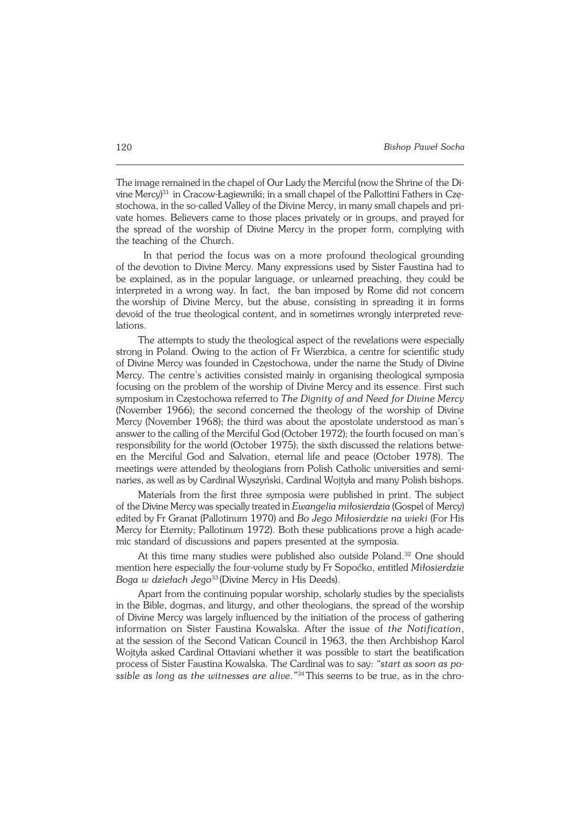The image remained in the chapel of Our Lady the Merciful (now the Shrine of the Di− vine Mercy)<sup>31</sup> in Cracow−Łagiewniki; in a small chapel of the Pallottini Fathers in Czę− stochowa, in the so-called Valley of the Divine Mercy, in many small chapels and private homes. Believers came to those places privately or in groups, and prayed for the spread of the worship of Divine Mercy in the proper form, complying with the teaching of the Church.

In that period the focus was on a more profound theological grounding of the devotion to Divine Mercy. Many expressions used by Sister Faustina had to be explained, as in the popular language, or unlearned preaching, they could be interpreted in a wrong way. In fact, the ban imposed by Rome did not concern theworship of Divine Mercy, but the abuse, consisting in spreading it in forms devoid of the true theological content, and in sometimes wrongly interpreted reve− lations.

The attempts to study the theological aspect of the revelations were especially strong in Poland. Owing to the action of Fr Wierzbica, a centre for scientific study of Divine Mercy was founded in Częstochowa, under the name the Study of Divine Mercy. The centre's activities consisted mainly in organising theological symposia focusing on the problem of the worship of Divine Mercy and its essence. First such symposium in Częstochowa referred to *The Dignity of and Need for Divine Mercy* (November 1966); the second concerned the theology of the worship of Divine Mercy (November 1968); the third was about the apostolate understood as man's answer to the calling of the Merciful God (October 1972); the fourth focused onman's responsibility for the world (October 1975); the sixth discussed the relations betwe− en the Merciful God and Salvation, eternal life and peace (October 1978). The meetings were attended by theologians from Polish Catholic universities and semi− naries, as well as by Cardinal Wyszyński, Cardinal Wojtyła and many Polish bishops.

Materials from the first three symposia were published in print. The subject of the Divine Mercy was specially treated in *Ewangelia miłosierdzia* (Gospel of Mercy) edited by Fr Granat (Pallotinum 1970) and *Bo Jego Miłosierdzie na wieki* (For His Mercy for Eternity; Pallotinum 1972). Both these publications prove a high acade− mic standard of discussions and papers presented at the symposia.

At this time many studies were published also outside Poland.<sup>32</sup> One should mention here especially the four−volume study by Fr Sopoćko, entitled *Miłosierdzie Boga w dziełach Jego*<sup>33</sup> (Divine Mercy in His Deeds).

Apart from the continuing popular worship, scholarly studies by the specialists in the Bible, dogmas, and liturgy, and other theologians, the spread of the worship of Divine Mercy was largely influenced by the initiation of the process of gathering information on Sister Faustina Kowalska. After the issue of *the Notification*, at the session of the Second Vatican Council in 1963, the then Archbishop Karol Wojtyła asked Cardinal Ottaviani whether it was possible to start the beatification process of Sister Faustina Kowalska. The Cardinal was to say: *"start as soon as possible aslong as the witnesses are alive*.*"* 34This seems to be true, as in the chro−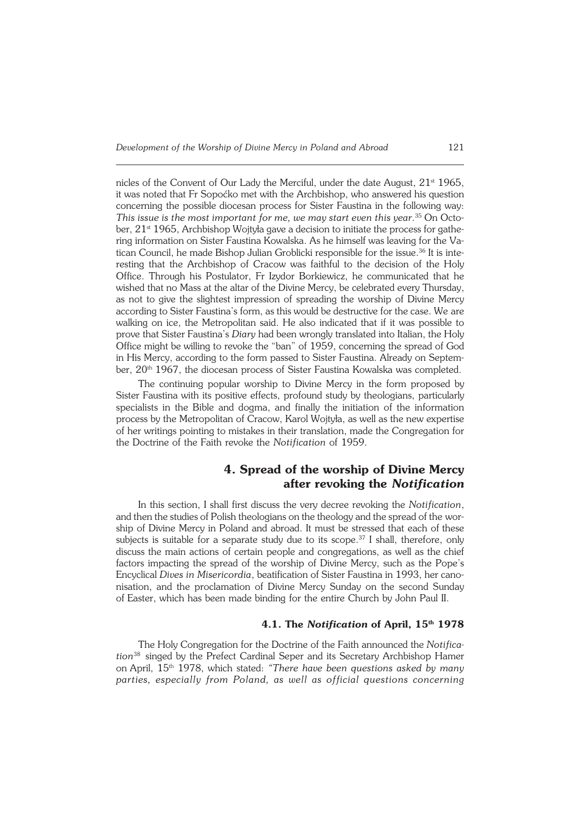nicles of the Convent of Our Lady the Merciful, under the date August,  $21<sup>st</sup> 1965$ , it was noted that Fr Sopoćko met with the Archbishop, who answered his question concerning the possible diocesan process for Sister Faustina in the following way: This issue is the most important for me, we may start even this year.<sup>35</sup> On October, 21<sup>st</sup> 1965, Archbishop Wojtyła gave a decision to initiate the process for gathe− ring information on Sister Faustina Kowalska. As he himself was leaving for the Vatican Council, he made Bishop Julian Groblicki responsible for the issue.<sup>36</sup> It is interesting that the Archbishop of Cracow was faithful to the decision of the Holy Office. Through his Postulator, Fr Izydor Borkiewicz, he communicated that he wished that no Mass at the altar of the Divine Mercy, be celebrated every Thursday, as not to give the slightest impression of spreading the worship of Divine Mercy according to Sister Faustina's form, as this would be destructive for the case. We are walking on ice, the Metropolitan said. He also indicated that if it was possible to prove that Sister Faustina's *Diary* had been wrongly translated into Italian, the Holy Office might be willing to revoke the "ban" of 1959, concerning the spread of God in His Mercy, according to the form passed to Sister Faustina. Already on Septem− ber, 20<sup>th</sup> 1967, the diocesan process of Sister Faustina Kowalska was completed.

The continuing popular worship to Divine Mercy in the form proposed by Sister Faustina with its positive effects, profound study by theologians, particularly specialists in the Bible and dogma, and finally the initiation of the information process by the Metropolitan of Cracow, Karol Wojtyła, as well as the new expertise of her writings pointing to mistakes in their translation, made the Congregation for the Doctrine of the Faith revoke the *Notification* of 1959.

# **4. Spread of the worship of Divine Mercy after revoking the** *Notification*

In this section, I shall first discuss the very decree revoking the *Notification*, and then the studies of Polish theologians on the theology and the spread of thewor− ship of Divine Mercy in Poland and abroad. It must be stressed that each of these subjects is suitable for a separate study due to its scope.<sup>37</sup> I shall, therefore, only discuss the main actions of certain people and congregations, as well as the chief factors impacting the spread of the worship of Divine Mercy, such as the Pope's Encyclical *Dives in Misericordia*, beatification of Sister Faustina in 1993, her cano− nisation, and the proclamation of Divine Mercy Sunday on the second Sunday ofEaster, which has been made binding for the entire Church by John Paul II.

## **4.1. The** *Notification* **of April, 15th 1978**

The Holy Congregation for the Doctrine of the Faith announced the *Notifica− tion*38 singed by the Prefect Cardinal Seper and its Secretary Archbishop Hamer onApril, 15th 1978, which stated: *"There have been questions asked by many parties, especially from Poland, as well as official questions concerning*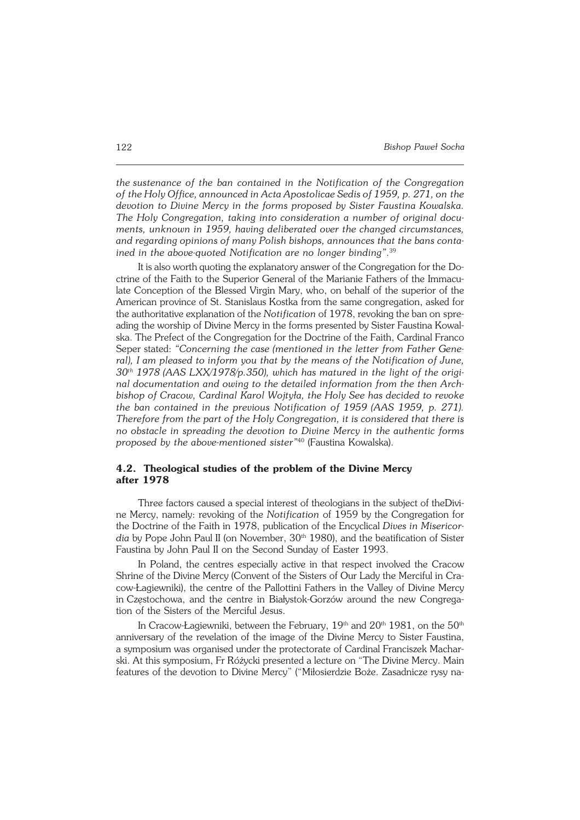*the sustenance of the ban contained in the Notification of the Congregation of the Holy Office, announced in Acta Apostolicae Sedis of 1959, p. 271, on the devotion to Divine Mercy in the forms proposed by Sister Faustina Kowalska. The Holy Congregation, taking into consideration a number of original docu− ments, unknown in 1959, having deliberated over the changed circumstances, and regarding opinions of many Polish bishops, announces that the bans conta− ined in the above−quoted Notification are no longer binding"*. 39

It is also worth quoting the explanatory answer of the Congregation for the Do− ctrine of the Faith to the Superior General of the Marianie Fathers of the Immacu− late Conception of the Blessed Virgin Mary, who, on behalf of the superior of the American province of St. Stanislaus Kostka from the same congregation, asked for the authoritative explanation of the *Notification* of 1978, revoking the ban on spre− ading the worship of Divine Mercy in the forms presented by Sister Faustina Kowal− ska. The Prefect of the Congregation for the Doctrine of the Faith, Cardinal Franco Seper stated: *"Concerning the case (mentioned in the letter from Father Gene− ral), I am pleased to inform you that by the means of the Notification of June, 30th 1978 (AAS LXX/1978/p.350), which has matured in the light of the origi− nal documentation and owing to the detailed information from the then Arch− bishop of Cracow, Cardinal Karol Wojtyła, the Holy See has decided to revoke the ban contained in the previous Notification of 1959 (AAS 1959, p. 271). Therefore from the part of the Holy Congregation, it is considered that there is no obstacle in spreading the devotion to Divine Mercy in the authentic forms proposed by the above−mentioned sister"*40 (Faustina Kowalska).

### **4.2. Theological studies of the problem of the Divine Mercy after 1978**

Three factors caused a special interest of theologians in the subject of theDivi− ne Mercy, namely: revoking of the *Notification* of 1959 by the Congregation for the Doctrine of the Faith in 1978, publication of the Encyclical *Dives in Misericor− dia* by Pope John Paul II (on November, 30<sup>th</sup> 1980), and the beatification of Sister Faustina by John Paul II on the Second Sunday of Easter 1993.

In Poland, the centres especially active in that respect involved the Cracow Shrine of the Divine Mercy (Convent of the Sisters of Our Lady the Merciful in Cra− cow−Łagiewniki), the centre of the Pallottini Fathers in the Valley of Divine Mercy inCzęstochowa, and the centre in Białystok−Gorzów around the new Congrega− tion of the Sisters of the Merciful Jesus.

In Cracow-Łagiewniki, between the February, 19<sup>th</sup> and 20<sup>th</sup> 1981, on the 50<sup>th</sup> anniversary of the revelation of the image of the Divine Mercy to Sister Faustina, a symposium was organised under the protectorate of Cardinal Franciszek Macharski. At this symposium, Fr Różycki presented a lecture on "The Divine Mercy. Main features of the devotion to Divine Mercy" ("Miłosierdzie Boże. Zasadnicze rysy na−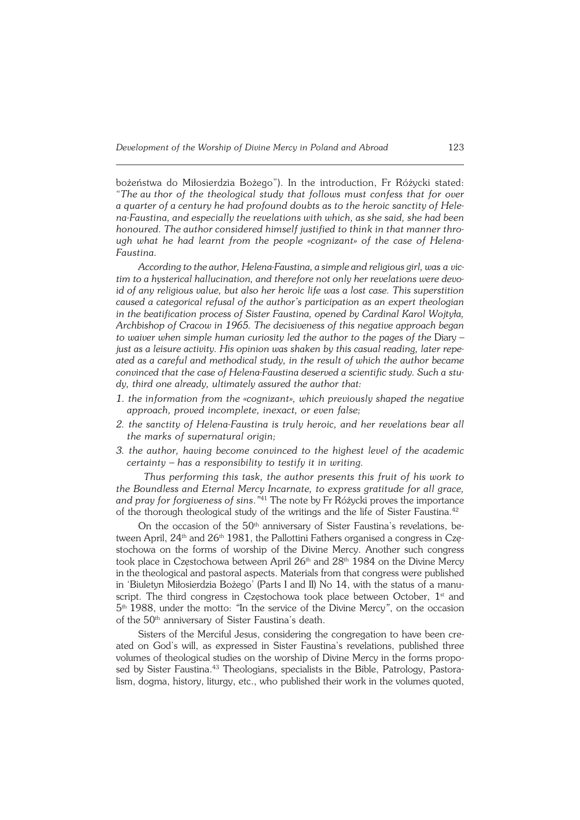bożeństwa do Miłosierdzia Bożego"). In the introduction, Fr Różycki stated: "*Theauthor of the theological study that follows must confess that for over aquarter of a century he had profound doubts as to the heroic sanctity ofHele− na−Faustina, and especially the revelations with which, as she said, she had been honoured. The author considered himself justified to think in that manner thro− ugh what he had learnt from the people «cognizant» of the case of Helena− Faustina.*

*According to the author, Helena-Faustina, a simple and religious girl, was a vic− tim to a hysterical hallucination, and therefore not only her revelations were devo− id of any religious value, but also her heroic life was a lost case. This superstition caused a categorical refusal of the author's participation as an expert theologian in the beatification process of Sister Faustina, opened by Cardinal Karol Wojtyła, Archbishop of Cracow in 1965. The decisiveness of this negative approach began to waiver when simple human curiosity led the author to the pages of the* Diary *– just as a leisure activity. His opinion was shaken by this casual reading, later repe− ated as a careful and methodical study, in the result ofwhich the author became convinced that the case of Helena−Faustina deserved a scientific study. Such astu−* dy, third one already, ultimately assured the author that:

- *1. the information from the «cognizant», which previously shaped the negative approach, proved incomplete, inexact, or even false;*
- *2. the sanctity of Helena−Faustina is truly heroic, and her revelations bear all the marks of supernatural origin;*
- *3. the author, having become convinced to the highest level of the academic certainty – has a responsibility to testify it in writing.*

*Thus performing this task, the author presents this fruit of his work to the Boundless and Eternal Mercy Incarnate, to express gratitude for all grace, and pray for forgiveness of sins*.*"* <sup>41</sup> The note by Fr Różycki proves the importance of the thorough theological study of the writings and the life of Sister Faustina.<sup>42</sup>

On the occasion of the 50th anniversary of Sister Faustina's revelations, be− tween April, 24<sup>th</sup> and 26<sup>th</sup> 1981, the Pallottini Fathers organised a congress in Czę− stochowa on the forms of worship of the Divine Mercy. Another such congress took place in Częstochowa between April 26<sup>th</sup> and 28<sup>th</sup> 1984 on the Divine Mercy in the theological and pastoral aspects. Materials from that congress were published in 'Biuletyn Miłosierdzia Bożego' (Parts I and II) No 14, with the status of a manu− script. The third congress in Częstochowa took place between October,  $1<sup>st</sup>$  and 5 th1988, under the motto: *"*In the service of the Divine Mercy*"*, on the occasion of the 50<sup>th</sup> anniversary of Sister Faustina's death.

Sisters of the Merciful Jesus, considering the congregation to have been cre− ated on God's will, as expressed in Sister Faustina's revelations, published three volumes of theological studies on the worship of Divine Mercy in the forms propo− sed by Sister Faustina.<sup>43</sup> Theologians, specialists in the Bible, Patrology, Pastoralism, dogma, history, liturgy, etc., who published their work in the volumes quoted,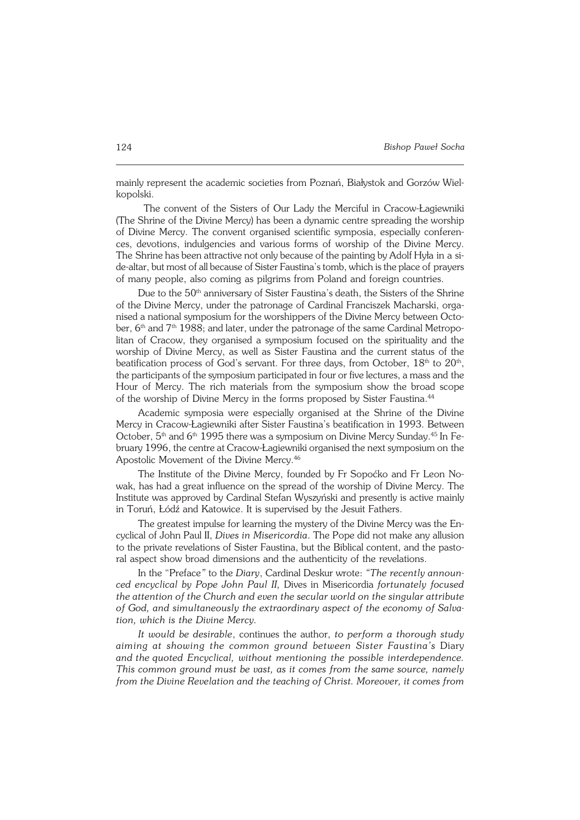mainly represent the academic societies from Poznań, Białystok and Gorzów Wiel− kopolski.

The convent of the Sisters of Our Lady the Merciful in Cracow−Łagiewniki (The Shrine of the Divine Mercy) has been a dynamic centre spreading the worship of Divine Mercy. The convent organised scientific symposia, especially conferen− ces, devotions, indulgencies and various forms of worship of the Divine Mercy. The Shrine has been attractive not only because of the painting by Adolf Hyła in a si− de-altar, but most of all because of Sister Faustina's tomb, which is the place of prayers of many people, also coming as pilgrims from Poland and foreign countries.

Due to the 50<sup>th</sup> anniversary of Sister Faustina's death, the Sisters of the Shrine of the Divine Mercy, under the patronage of Cardinal Franciszek Macharski, orga− nised a national symposium for the worshippers of the Divine Mercy between Octo− ber, 6<sup>th</sup> and 7<sup>th</sup> 1988; and later, under the patronage of the same Cardinal Metropolitan of Cracow, they organised a symposium focused on the spirituality and the worship of Divine Mercy, as well as Sister Faustina and the current status of the beatification process of God's servant. For three days, from October,  $18<sup>th</sup>$  to  $20<sup>th</sup>$ , the participants of the symposium participated in four or five lectures, a mass and the Hour of Mercy. The rich materials from the symposium show the broad scope of the worship of Divine Mercy in the forms proposed by Sister Faustina.<sup>44</sup>

Academic symposia were especially organised at the Shrine of the Divine Mercy in Cracow−Łagiewniki after Sister Faustina's beatification in 1993. Between October, 5<sup>th</sup> and 6<sup>th</sup> 1995 there was a symposium on Divine Mercy Sunday.<sup>45</sup> In February 1996, the centre at Cracow−Łagiewniki organised the next symposium onthe Apostolic Movement of the Divine Mercy.<sup>46</sup>

The Institute of the Divine Mercy, founded by Fr Sopoćko and Fr Leon No− wak, has had a great influence on the spread of the worship of Divine Mercy. The Institute was approved by Cardinal Stefan Wyszyński and presently is active mainly in Toruń, Łódź and Katowice. It is supervised by the Jesuit Fathers.

The greatest impulse for learning the mystery of the Divine Mercy was the En− cyclical of John Paul II, *Dives in Misericordia*. The Pope did not make any allusion to the private revelations of Sister Faustina, but the Biblical content, and the pastoral aspect show broad dimensions and the authenticity of the revelations.

In the "Preface*"* to the *Diary*, Cardinal Deskur wrote: *"The recently announ− ced encyclical by Pope John Paul II,* Dives in Misericordia *fortunately focused the attention of the Church and even the secular world on the singular attribute of God, and simultaneously the extraordinary aspect of the economy of Salva− tion, which is the Divine Mercy.*

*It would be desirable*, continues the author, *to perform a thorough study aiming at showing the common ground between Sister Faustina's* Diary and the quoted Encyclical, without mentioning the possible interdependence. *This common ground must be vast, as it comes from the same source, namely from the Divine Revelation and the teaching of Christ. Moreover, it comes from*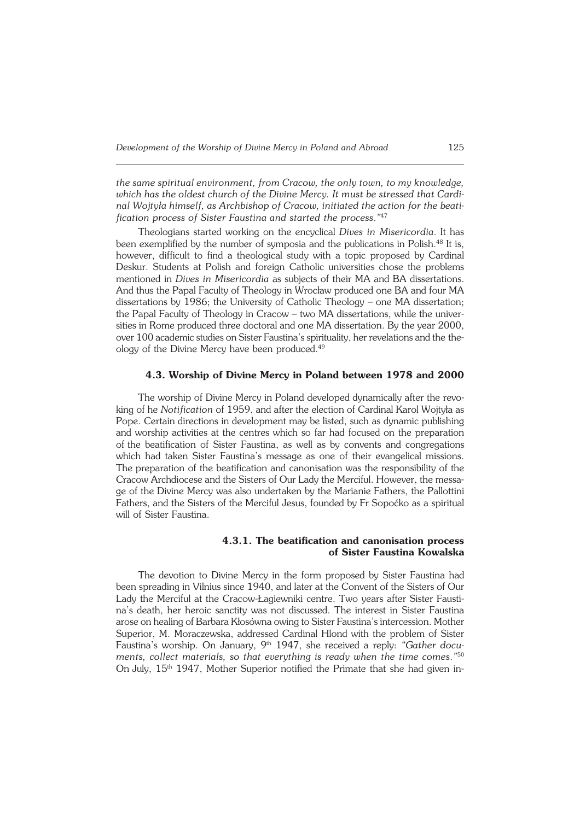*the same spiritual environment, from Cracow, the only town, to my knowledge, which has the oldest church of the Divine Mercy. It must be stressed that Cardi− nal Wojtyła himself, as Archbishop of Cracow, initiated the action for the beati− fication process of Sister Faustina and started the process*.*"* 47

Theologians started working on the encyclical *Dives in Misericordia*. It has been exemplified by the number of symposia and the publications in Polish.48 It is, however, difficult to find a theological study with a topic proposed by Cardinal Deskur. Students at Polish and foreign Catholic universities chose the problems mentioned in *Dives in Misericordia* as subjects of their MA and BA dissertations. And thus the Papal Faculty of Theology in Wrocław produced one BA and four MA dissertations by 1986; the University of Catholic Theology – one MA dissertation; the Papal Faculty of Theology in Cracow – two MA dissertations, while the univer− sities in Rome produced three doctoral and one MA dissertation. By the year 2000, over 100 academic studies on Sister Faustina's spirituality, her revelations and the the− ology of the Divine Mercy have been produced.<sup>49</sup>

#### **4.3. Worship of Divine Mercy in Poland between 1978 and 2000**

The worship of Divine Mercy in Poland developed dynamically after the revo− king of he *Notification* of 1959, and after the election of Cardinal Karol Wojtyła as Pope. Certain directions in development may be listed, such as dynamic publishing and worship activities at the centres which so far had focused on the preparation ofthe beatification of Sister Faustina, as well as by convents and congregations which had taken Sister Faustina's message as one of their evangelical missions. The preparation of the beatification and canonisation was the responsibility of the Cracow Archdiocese and the Sisters of Our Lady the Merciful. However, the messa− ge of the Divine Mercy was also undertaken by the Marianie Fathers, the Pallottini Fathers, and the Sisters of the Merciful Jesus, founded by Fr Sopoćko as a spiritual will of Sister Faustina.

#### **4.3.1. The beatification and canonisation process of Sister Faustina Kowalska**

The devotion to Divine Mercy in the form proposed by Sister Faustina had been spreading in Vilnius since 1940, and later at the Convent of the Sisters of Our Lady the Merciful at the Cracow−Łagiewniki centre. Two years after Sister Fausti− na's death, her heroic sanctity was not discussed. The interest in Sister Faustina arose on healing of Barbara Kłosówna owing to Sister Faustina's intercession. Mother Superior, M. Moraczewska, addressed Cardinal Hlond with the problem of Sister Faustina's worship. On January, 9th 1947, she received a reply: *"Gather docu− ments, collect materials, so that everything is ready when the time comes*.*"* 50 On July, 15<sup>th</sup> 1947, Mother Superior notified the Primate that she had given in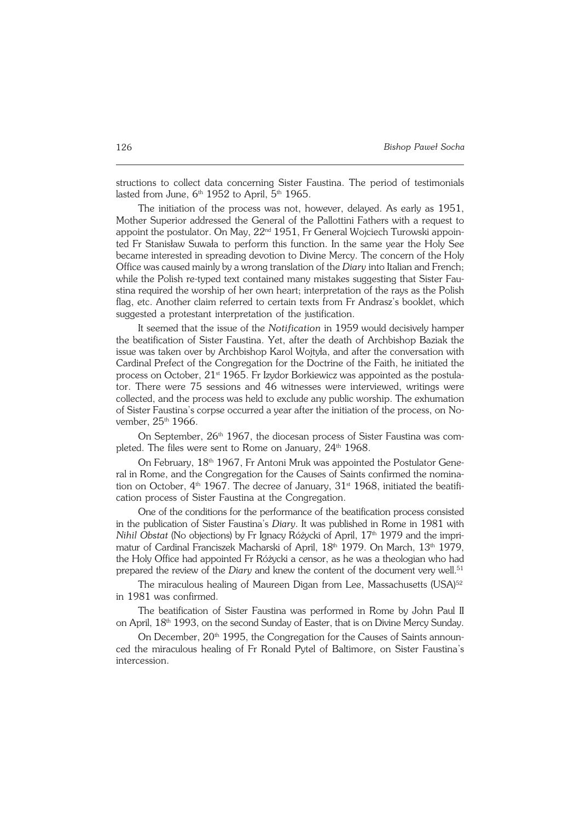structions to collect data concerning Sister Faustina. The period of testimonials lasted from June,  $6<sup>th</sup>$  1952 to April,  $5<sup>th</sup>$  1965.

The initiation of the process was not, however, delayed. As early as 1951, Mother Superior addressed the General of the Pallottini Fathers with a request to appoint the postulator. On May, 22nd 1951, Fr General Wojciech Turowski appoin− ted Fr Stanisław Suwała to perform this function. In the same year the Holy See became interested in spreading devotion to Divine Mercy. The concern of the Holy Office was caused mainly by a wrong translation of the *Diary* into Italian and French; while the Polish re−typed text contained many mistakes suggesting that Sister Fau− stina required the worship of her own heart; interpretation of the rays as the Polish flag, etc. Another claim referred to certain texts from Fr Andrasz's booklet, which suggested a protestant interpretation of the justification.

It seemed that the issue of the *Notification* in 1959 would decisively hamper the beatification of Sister Faustina. Yet, after the death of Archbishop Baziak the issue was taken over by Archbishop Karol Wojtyła, and after the conversation with Cardinal Prefect of the Congregation for the Doctrine of the Faith, he initiated the process on October, 21<sup>st</sup> 1965. Fr Izydor Borkiewicz was appointed as the postulator. There were 75 sessions and 46 witnesses were interviewed, writings were collected, and the process was held to exclude any public worship. The exhumation of Sister Faustina's corpse occurred a year after the initiation of the process, on November, 25<sup>th</sup> 1966.

On September, 26<sup>th</sup> 1967, the diocesan process of Sister Faustina was completed. The files were sent to Rome on January,  $24<sup>th</sup> 1968$ .

On February, 18th 1967, Fr Antoni Mruk was appointed the Postulator Gene− ral in Rome, and the Congregation for the Causes of Saints confirmed the nomination on October,  $4<sup>th</sup>$  1967. The decree of January, 31<sup>st</sup> 1968, initiated the beatification process of Sister Faustina at the Congregation.

One of the conditions for the performance of the beatification process consisted in the publication of Sister Faustina's *Diary*. It was published in Rome in 1981 with *Nihil Obstat* (No objections) by Fr Ignacy Różycki of April, 17<sup>th</sup> 1979 and the impri− matur of Cardinal Franciszek Macharski of April, 18th 1979. On March, 13th 1979, the Holy Office had appointed Fr Różycki a censor, as he was a theologian who had prepared the review of the *Diary* and knew the content of the document very well.<sup>51</sup>

The miraculous healing of Maureen Digan from Lee, Massachusetts (USA)<sup>52</sup> in 1981 was confirmed.

The beatification of Sister Faustina was performed in Rome by John Paul II on April, 18<sup>th</sup> 1993, on the second Sunday of Easter, that is on Divine Mercy Sunday.

On December, 20<sup>th</sup> 1995, the Congregation for the Causes of Saints announced the miraculous healing of Fr Ronald Pytel of Baltimore, on Sister Faustina's intercession.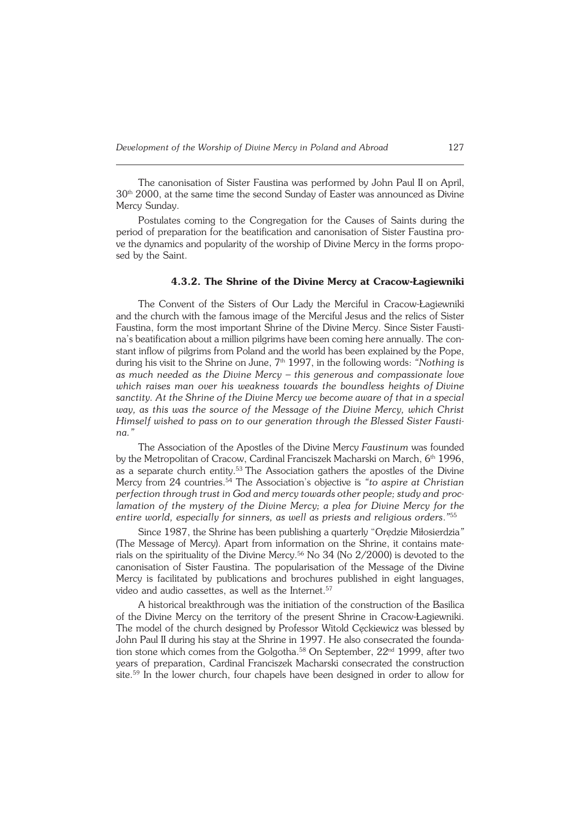The canonisation of Sister Faustina was performed by John Paul II on April,  $30<sup>th</sup>$  2000, at the same time the second Sunday of Easter was announced as Divine Mercy Sunday.

Postulates coming to the Congregation for the Causes of Saints during the period of preparation for the beatification and canonisation of Sister Faustina pro− ve the dynamics and popularity of the worship of Divine Mercy in the forms propo− sed by the Saint.

### **4.3.2. The Shrine of the Divine Mercy at Cracow−Łagiewniki**

The Convent of the Sisters of Our Lady the Merciful in Cracow−Łagiewniki and the church with the famous image of the Merciful Jesus and the relics of Sister Faustina, form the most important Shrine of the Divine Mercy. Since Sister Fausti− na's beatification about a million pilgrims have been coming here annually. The con− stant inflow of pilgrims from Poland and the world has been explained by the Pope, during his visit to the Shrine on June, 7th 1997, in the following words: *"Nothing is as much needed as the Divine Mercy – this generous and compassionate love which raises man over his weakness towards the boundless heights of Divine sanctity. At the Shrine of the Divine Mercy we become aware of that in a special way, as this was the source of the Message of the Divine Mercy, which Christ Himself wished to pass on to our generation through the Blessed Sister Fausti− na."*

The Association of the Apostles of the Divine Mercy *Faustinum* was founded by the Metropolitan of Cracow, Cardinal Franciszek Macharski on March, 6<sup>th</sup> 1996, as a separate church entity.<sup>53</sup> The Association gathers the apostles of the Divine Mercy from 24 countries.54 The Association's objective is *"to aspire at Christian perfection through trust in God and mercy towards other people; study and proclamation of the mystery of the Divine Mercy; a plea for Divine Mercy for the entire world, especially for sinners, as well as priests and religious orders*.*"* 55

Since 1987, the Shrine has been publishing a quarterly "Orędzie Miłosierdzia*"* (The Message of Mercy). Apart from information on the Shrine, it contains mate− rials on the spirituality of the Divine Mercy.<sup>56</sup> No 34 (No 2/2000) is devoted to the canonisation of Sister Faustina. The popularisation of the Message of the Divine Mercy is facilitated by publications and brochures published in eight languages, video and audio cassettes, as well as the Internet.<sup>57</sup>

A historical breakthrough was the initiation of the construction of the Basilica of the Divine Mercy on the territory of the present Shrine in Cracow−Łagiewniki. The model of the church designed by Professor Witold Ceckiewicz was blessed by John Paul II during his stay at the Shrine in 1997. He also consecrated the founda− tion stone which comes from the Golgotha.<sup>58</sup> On September, 22<sup>nd</sup> 1999, after two years of preparation, Cardinal Franciszek Macharski consecrated the construction site.59 In the lower church, four chapels have been designed in order to allow for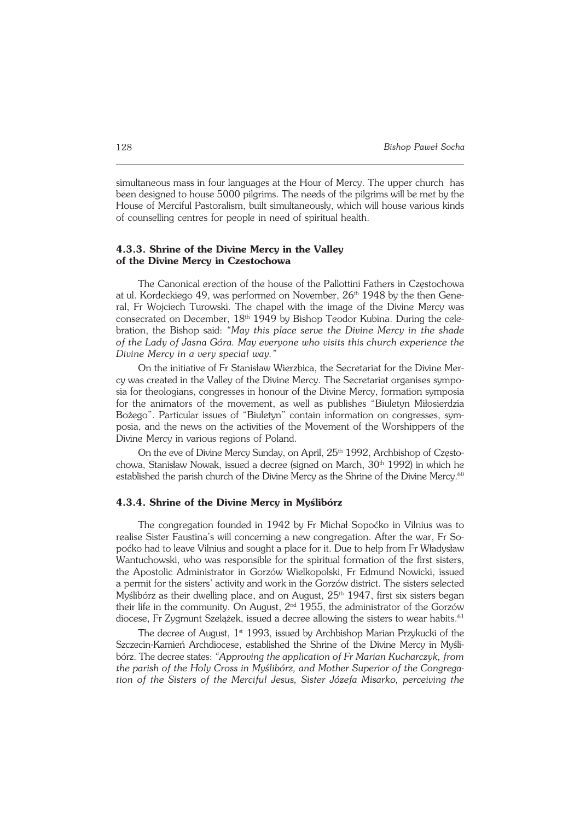simultaneous mass in four languages at the Hour of Mercy. The upper church has been designed to house 5000 pilgrims. The needs of the pilgrims will be met by the House of Merciful Pastoralism, built simultaneously, which will house various kinds of counselling centres for people in need of spiritual health.

### **4.3.3. Shrine of the Divine Mercy in the Valley of the Divine Mercy in Czestochowa**

The Canonical erection of the house of the Pallottini Fathers in Częstochowa at ul. Kordeckiego 49, was performed on November, 26<sup>th</sup> 1948 by the then Gene− ral, Fr Wojciech Turowski. The chapel with the image of the Divine Mercy was consecrated on December, 18th 1949 by Bishop Teodor Kubina. During the cele− bration, the Bishop said: *"May this place serve the Divine Mercy in the shade ofthe Lady of Jasna Góra. May everyone who visits this church experience the Divine Mercy in a very special way."*

On the initiative of Fr Stanisław Wierzbica, the Secretariat for the Divine Mer− cy was created in the Valley of the Divine Mercy. The Secretariat organises sympo− sia for theologians, congresses in honour of the Divine Mercy, formation symposia for the animators of the movement, as well as publishes "Biuletyn Miłosierdzia Bożego". Particular issues of "Biuletyn" contain information on congresses, sym− posia, and the news on the activities of the Movement of the Worshippers of the Divine Mercy in various regions of Poland.

On the eve of Divine Mercy Sunday, on April, 25<sup>th</sup> 1992, Archbishop of Częstochowa, Stanisław Nowak, issued a decree (signed on March,  $30<sup>th</sup> 1992$ ) in which he established the parish church of the Divine Mercy as the Shrine of the Divine Mercy.<sup>60</sup>

#### **4.3.4. Shrine of the Divine Mercy in Myślibórz**

The congregation founded in 1942 by Fr Michał Sopoćko in Vilnius was to realise Sister Faustina's will concerning a new congregation. After the war, Fr So− poćko had to leave Vilnius and sought a place for it. Due to help from Fr Władysław Wantuchowski, who was responsible for the spiritual formation of the first sisters, the Apostolic Administrator in Gorzów Wielkopolski, Fr Edmund Nowicki, issued apermit for the sisters' activity and work in the Gorzów district. The sisters selected Myślibórz as their dwelling place, and on August, 25<sup>th</sup> 1947, first six sisters began their life in the community. On August,  $2<sup>nd</sup>$  1955, the administrator of the Gorzów diocese, Fr Zygmunt Szelążek, issued a decree allowing the sisters to wear habits.<sup>61</sup>

The decree of August,  $1<sup>st</sup>$  1993, issued by Archbishop Marian Przykucki of the Szczecin−Kamień Archdiocese, established the Shrine of the Divine Mercy in Myśli− bórz. The decree states: *"Approving the application of Fr Marian Kucharczyk, from the parish of the Holy Cross in Myślibórz, and Mother Superior of the Congrega− tion of the Sisters of the Merciful Jesus, Sister Józefa Misarko, perceiving the*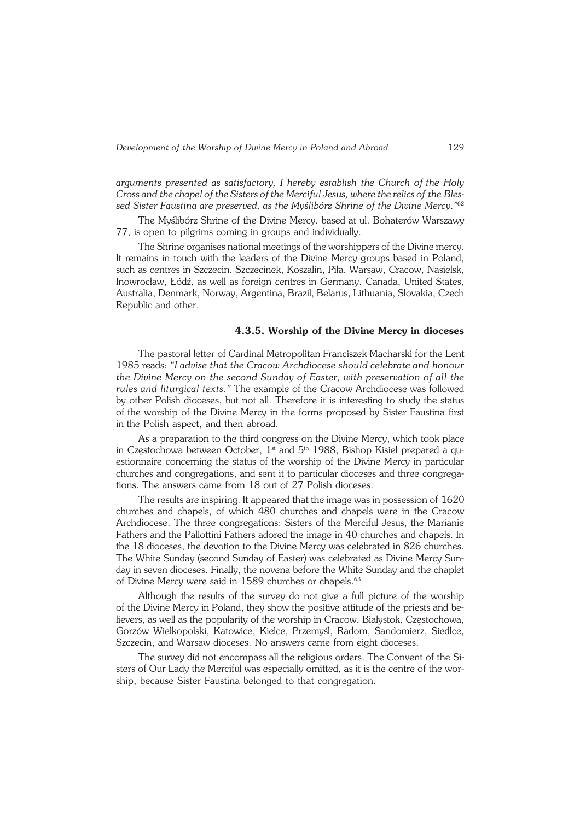*arguments presented as satisfactory, I hereby establish the Church ofthe Holy Cross and the chapel of the Sisters of the Merciful Jesus, where the relics of the Bles− sed Sister Faustina are preserved, as the Myślibórz Shrine ofthe Divine Mercy*.*"* 62

The Myślibórz Shrine of the Divine Mercy, based at ul. Bohaterów Warszawy 77, is open to pilgrims coming in groups and individually.

The Shrine organises national meetings of the worshippers of the Divine mercy. It remains in touch with the leaders of the Divine Mercy groups based in Poland, such as centres in Szczecin, Szczecinek, Koszalin, Piła, Warsaw, Cracow, Nasielsk, Inowrocław, Łódź, as well as foreign centres in Germany, Canada, United States, Australia, Denmark, Norway, Argentina, Brazil, Belarus, Lithuania, Slovakia, Czech Republic and other.

#### **4.3.5. Worship of the Divine Mercy in dioceses**

The pastoral letter of Cardinal Metropolitan Franciszek Macharski for the Lent 1985 reads: *"I advise that the Cracow Archdiocese should celebrate and honour the Divine Mercy on the second Sunday of Easter, with preservation of all the rules and liturgical texts."* The example of the Cracow Archdiocese was followed by other Polish dioceses, but not all. Therefore it is interesting to study the status of the worship of the Divine Mercy in the forms proposed by Sister Faustina first in the Polish aspect, and then abroad.

As a preparation to the third congress on the Divine Mercy, which took place in Częstochowa between October, 1<sup>st</sup> and 5<sup>th</sup> 1988, Bishop Kisiel prepared a questionnaire concerning the status of the worship of the Divine Mercy in particular churches and congregations, and sent it to particular dioceses and three congrega− tions. The answers came from 18 out of 27 Polish dioceses.

The results are inspiring. It appeared that the image was in possession of  $1620$ churches and chapels, of which 480 churches and chapels were in the Cracow Archdiocese. The three congregations: Sisters of the Merciful Jesus, the Marianie Fathers and the Pallottini Fathers adored the image in 40 churches and chapels. In the 18 dioceses, the devotion to the Divine Mercy was celebrated in 826 churches. The White Sunday (second Sunday of Easter) was celebrated as Divine Mercy Sun− day in seven dioceses. Finally, the novena before the White Sunday and the chaplet of Divine Mercy were said in 1589 churches or chapels.<sup>63</sup>

Although the results of the survey do not give a full picture of the worship of the Divine Mercy in Poland, they show the positive attitude of the priests and be− lievers, as well as the popularity of the worship in Cracow, Białystok, Częstochowa, Gorzów Wielkopolski, Katowice, Kielce, Przemyśl, Radom, Sandomierz, Siedlce, Szczecin, and Warsaw dioceses. No answers came from eight dioceses.

The survey did not encompass all the religious orders. The Convent of the Sisters of Our Lady the Merciful was especially omitted, as it is the centre of thewor− ship, because Sister Faustina belonged to that congregation.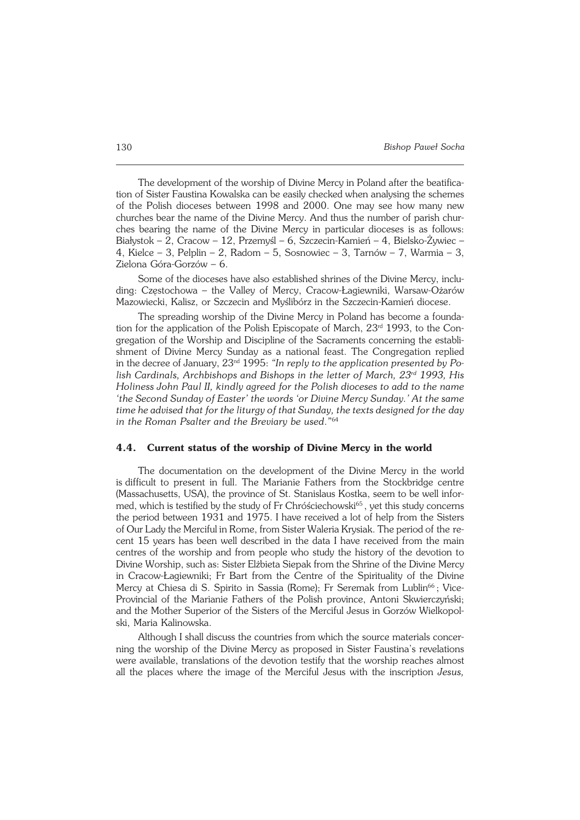The development of the worship of Divine Mercy in Poland after the beatifica− tion of Sister Faustina Kowalska can be easily checked when analysing the schemes of the Polish dioceses between 1998 and 2000. One may see how many new churches bear the name of the Divine Mercy. And thus the number of parish chur− ches bearing the name of the Divine Mercy in particular dioceses is as follows: Białystok – 2, Cracow – 12, Przemyśl – 6, Szczecin−Kamień – 4, Bielsko−Żywiec – 4, Kielce – 3, Pelplin – 2, Radom – 5, Sosnowiec – 3, Tarnów – 7, Warmia – 3, Zielona Góra−Gorzów – 6.

Some of the dioceses have also established shrines of the Divine Mercy, inclu− ding: Częstochowa – the Valley of Mercy, Cracow−Łagiewniki, Warsaw−Ożarów Mazowiecki, Kalisz, or Szczecin and Myślibórz in the Szczecin−Kamień diocese.

The spreading worship of the Divine Mercy in Poland has become a foundation for the application of the Polish Episcopate of March, 23<sup>rd</sup> 1993, to the Con− gregation of the Worship and Discipline of the Sacraments concerning the establishment of Divine Mercy Sunday as a national feast. The Congregation replied inthe decree of January, 23nd 1995: *"In reply to the application presented byPo− lish Cardinals, Archbishops and Bishops in the letter of March, 23rd 1993, His Holiness John Paul II, kindly agreed for the Polish dioceses to add to the name 'the Second Sunday of Easter' the words 'or Divine Mercy Sunday.' At the same* time he advised that for the liturgy of that Sunday, the texts designed for the day *in the Roman Psalter and the Breviary be used*.*"* 64

#### **4.4. Current status of the worship of Divine Mercy in the world**

The documentation on the development of the Divine Mercy in the world is difficult to present in full. The Marianie Fathers from the Stockbridge centre (Massachusetts, USA), the province of St. Stanislaus Kostka, seem to be well infor− med, which is testified by the study of Fr Chróściechowski<sup>65</sup>, yet this study concerns the period between 1931 and 1975. I have received a lot of help from the Sisters of Our Lady the Merciful in Rome, from Sister Waleria Krysiak. The period of the re− cent 15 years has been well described in the data I have received from the main centres of the worship and from people who study the history of the devotion to Divine Worship, such as: Sister Elżbieta Siepak from the Shrine of the Divine Mercy in Cracow−Łagiewniki; Fr Bart from the Centre of the Spirituality of the Divine Mercy at Chiesa di S. Spirito in Sassia (Rome); Fr Seremak from Lublin<sup>66</sup>; Vice-Provincial of the Marianie Fathers of the Polish province, Antoni Skwierczyński; and the Mother Superior of the Sisters of the Merciful Jesus in Gorzów Wielkopol− ski, Maria Kalinowska.

Although I shall discuss the countries from which the source materials concer− ning the worship of the Divine Mercy as proposed in Sister Faustina's revelations were available, translations of the devotion testify that the worship reaches almost all the places where the image of the Merciful Jesus with the inscription *Jesus,*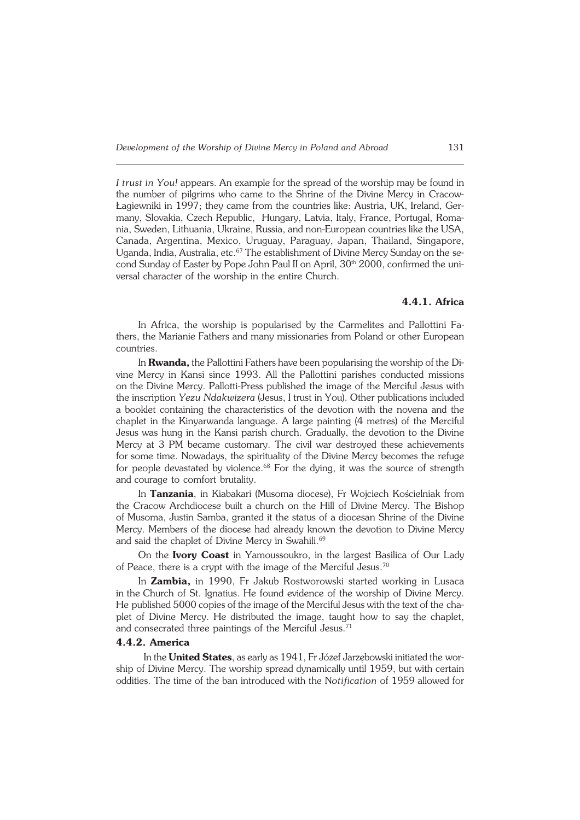*Itrust in You!* appears. An example for the spread of the worship may be found in the number of pilgrims who came to the Shrine of the Divine Mercy in Cracow− Łagiewniki in 1997; they came from the countries like: Austria, UK, Ireland, Ger− many, Slovakia, Czech Republic, Hungary, Latvia, Italy, France, Portugal, Roma− nia, Sweden, Lithuania, Ukraine, Russia, and non−European countries like the USA, Canada, Argentina, Mexico, Uruguay, Paraguay, Japan, Thailand, Singapore, Uganda, India, Australia, etc.<sup>67</sup> The establishment of Divine Mercy Sunday on the second Sunday of Easter by Pope John Paul II on April, 30<sup>th</sup> 2000, confirmed the uni− versal character of the worship in the entire Church.

#### **4.4.1. Africa**

In Africa, the worship is popularised by the Carmelites and Pallottini Fa− thers, the Marianie Fathers and many missionaries from Poland or other European countries.

In **Rwanda**, the Pallottini Fathers have been popularising the worship of the Di− vine Mercy in Kansi since 1993. All the Pallottini parishes conducted missions onthe Divine Mercy. Pallotti−Press published the image of the Merciful Jesus with the inscription *Yezu Ndakwizera* (Jesus, I trust in You). Other publications included a booklet containing the characteristics of the devotion with the novena and the chaplet in the Kinyarwanda language. A large painting (4 metres) of the Merciful Jesus was hung in the Kansi parish church. Gradually, the devotion to the Divine Mercy at 3 PM became customary. The civil war destroyed these achievements for some time. Nowadays, the spirituality of the Divine Mercy becomes the refuge for people devastated by violence.<sup>68</sup> For the dying, it was the source of strength and courage to comfort brutality.

In **Tanzania**, in Kiabakari (Musoma diocese), Fr Wojciech Kościelniak from the Cracow Archdiocese built a church on the Hill of Divine Mercy. The Bishop of Musoma, Justin Samba, granted it the status of a diocesan Shrine of the Divine Mercy. Members of the diocese had already known the devotion to Divine Mercy and said the chaplet of Divine Mercy in Swahili.<sup>69</sup>

On the **Ivory Coast** in Yamoussoukro, in the largest Basilica of Our Lady of Peace, there is a crypt with the image of the Merciful Jesus.<sup>70</sup>

In **Zambia,** in 1990, Fr Jakub Rostworowski started working in Lusaca in the Church of St. Ignatius. He found evidence of the worship of Divine Mercy. He published 5000 copies of the image of the Merciful Jesus with the text of the chaplet of Divine Mercy. He distributed the image, taught how to say the chaplet, and consecrated three paintings of the Merciful Jesus.<sup>71</sup>

#### **4.4.2. America**

In the **United States**, as early as 1941, Fr Józef Jarzębowski initiated thewor− ship of Divine Mercy. The worship spread dynamically until 1959, but with certain oddities. The time of the ban introduced with the N*otification* of 1959 allowed for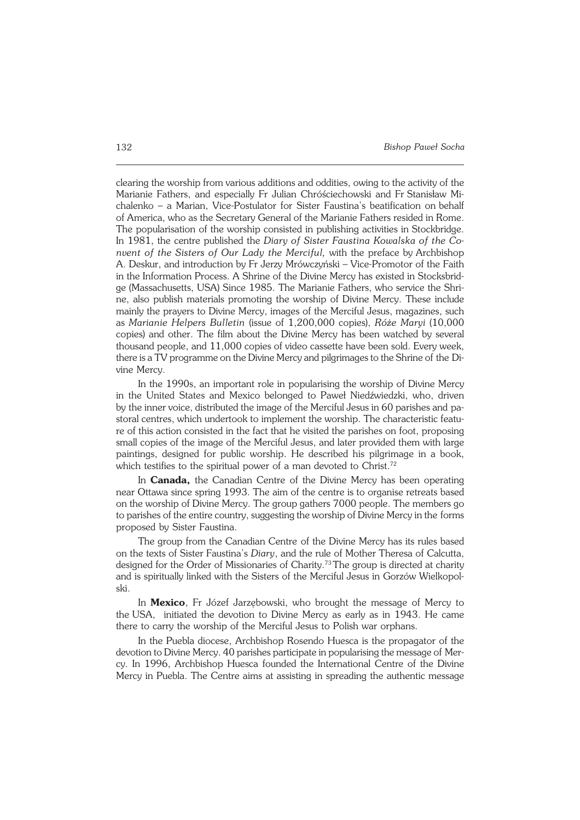clearing the worship from various additions and oddities, owing to the activity of the Marianie Fathers, and especially Fr Julian Chróściechowski and FrStanisław Mi− chalenko – a Marian, Vice−Postulator for Sister Faustina's beatification onbehalf of America, who as the Secretary General of the Marianie Fathers resided in Rome. The popularisation of the worship consisted in publishing activities in Stockbridge. In 1981, the centre published the *Diary of Sister Faustina Kowalska of the Co− nvent of the Sisters of Our Lady the Merciful, with the preface by Archbishop* A.Deskur, and introduction by Fr Jerzy Mrówczyński – Vice−Promotor of the Faith in the Information Process. A Shrine of the Divine Mercy has existed in Stocksbrid− ge (Massachusetts, USA) Since 1985. The Marianie Fathers, who service the Shrine, also publish materials promoting the worship of Divine Mercy. These include mainly the prayers to Divine Mercy, images of the Merciful Jesus, magazines, such as *Marianie Helpers Bulletin* (issue of 1,200,000 copies), *Róże Maryi* (10,000 copies) and other. The film about the Divine Mercy has been watched by several thousand people, and 11,000 copies of video cassette have been sold. Every week, there is a TV programme on the Divine Mercy and pilgrimages to the Shrine of the Di− vine Mercy.

In the 1990s, an important role in popularising the worship of Divine Mercy in the United States and Mexico belonged to Paweł Niedźwiedzki, who, driven by the inner voice, distributed the image of the Merciful Jesus in 60 parishes and pastoral centres, which undertook to implement the worship. The characteristic featu− re of this action consisted in the fact that he visited the parishes on foot, proposing small copies of the image of the Merciful Jesus, and later provided them with large paintings, designed for public worship. He described his pilgrimage in a book, which testifies to the spiritual power of a man devoted to Christ.<sup>72</sup>

In **Canada,** the Canadian Centre of the Divine Mercy has been operating near Ottawa since spring 1993. The aim of the centre is to organise retreats based on the worship of Divine Mercy. The group gathers 7000 people. The members go to parishes of the entire country, suggesting the worship of Divine Mercy in the forms proposed by Sister Faustina.

The group from the Canadian Centre of the Divine Mercy has its rules based on the texts of Sister Faustina's *Diary*, and the rule of Mother Theresa of Calcutta, designed for the Order of Missionaries of Charity.73The group is directed at charity and is spiritually linked with the Sisters of the Merciful Jesus in Gorzów Wielkopol− ski.

In **Mexico**, Fr Józef Jarzębowski, who brought the message of Mercy to theUSA, initiated the devotion to Divine Mercy as early as in 1943. He came there to carry the worship of the Merciful Jesus to Polish war orphans.

In the Puebla diocese, Archbishop Rosendo Huesca is the propagator of the devotion to Divine Mercy. 40 parishes participate in popularising the message of Mer− cy. In 1996, Archbishop Huesca founded the International Centre of the Divine Mercy in Puebla. The Centre aims at assisting in spreading the authentic message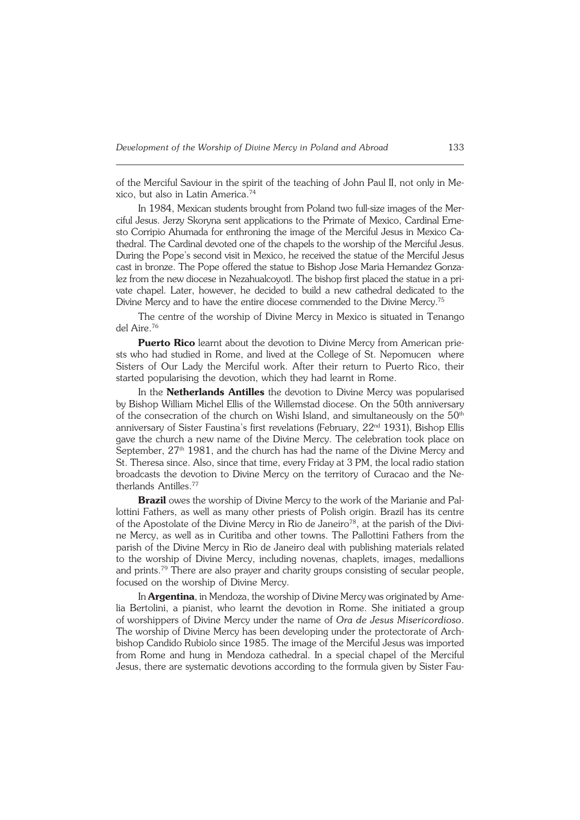of the Merciful Saviour in the spirit of the teaching of John Paul II, not only inMe− xico, but also in Latin America.<sup>74</sup>

In 1984, Mexican students brought from Poland two full-size images of the Mer− ciful Jesus. Jerzy Skoryna sent applications to the Primate of Mexico, Cardinal Erne− sto Corripio Ahumada for enthroning the image of the Merciful Jesus in Mexico Ca− thedral. The Cardinal devoted one of the chapels to the worship of the Merciful Jesus. During the Pope's second visit in Mexico, he received the statue of the Merciful Jesus cast in bronze. The Pope offered the statue to Bishop Jose Maria Hernandez Gonza− lez from the new diocese in Nezahualcovotl. The bishop first placed the statue in a pri− vate chapel. Later, however, he decided to build a new cathedral dedicated to the Divine Mercy and to have the entire diocese commended to the Divine Mercy.<sup>75</sup>

The centre of the worship of Divine Mercy in Mexico is situated in Tenango del Aire.<sup>76</sup>

**Puerto Rico** learnt about the devotion to Divine Mercy from American prie− sts who had studied in Rome, and lived at the College of St. Nepomucen where Sisters of Our Lady the Merciful work. After their return to Puerto Rico, their started popularising the devotion, which they had learnt in Rome.

In the **Netherlands Antilles** the devotion to Divine Mercy was popularised by Bishop William Michel Ellis of the Willemstad diocese. On the 50th anniversary of the consecration of the church on Wishi Island, and simultaneously on the 50<sup>th</sup> anniversary of Sister Faustina's first revelations (February, 22<sup>nd</sup> 1931), Bishop Ellis gave the church a new name of the Divine Mercy. The celebration took place on September,  $27<sup>th</sup> 1981$ , and the church has had the name of the Divine Mercy and St. Theresa since. Also, since that time, every Friday at 3 PM, the local radio station broadcasts the devotion to Divine Mercy on the territory of Curacao and the Ne− therlands Antilles.<sup>77</sup>

**Brazil** owes the worship of Divine Mercy to the work of the Marianie and Pal− lottini Fathers, as well as many other priests of Polish origin. Brazil has its centre of the Apostolate of the Divine Mercy in Rio de Janeiro<sup>78</sup>, at the parish of the Divine Mercy, as well as in Curitiba and other towns. The Pallottini Fathers from the parish of the Divine Mercy in Rio de Janeiro deal with publishing materials related to the worship of Divine Mercy, including novenas, chaplets, images, medallions and prints.79 There are also prayer and charity groups consisting of secular people, focused on the worship of Divine Mercy.

In **Argentina**, in Mendoza, the worship of Divine Mercy was originated byAme− lia Bertolini, a pianist, who learnt the devotion in Rome. She initiated a group of worshippers of Divine Mercy under the name of *Ora de Jesus Misericordioso*. The worship of Divine Mercy has been developing under the protectorate of Arch− bishop Candido Rubiolo since 1985. The image of the Merciful Jesus was imported from Rome and hung in Mendoza cathedral. In a special chapel of the Merciful Jesus, there are systematic devotions according to the formula given by Sister Fau−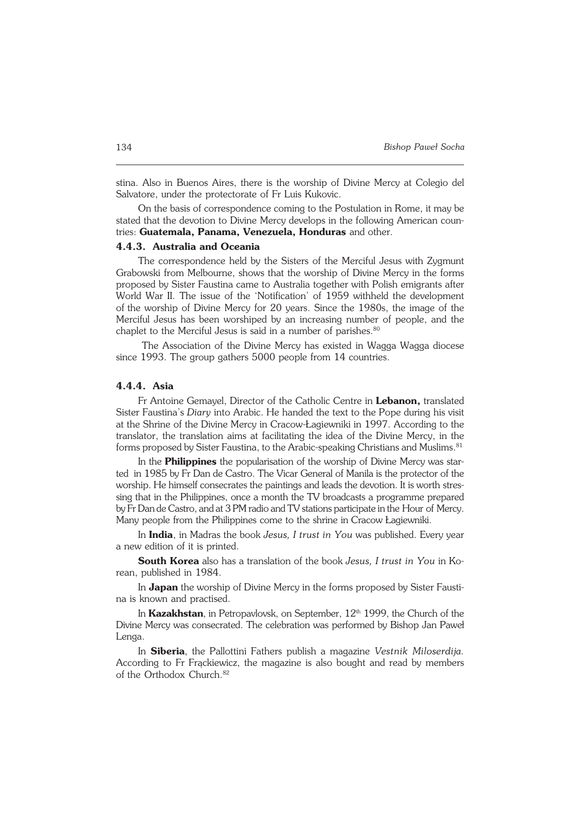stina. Also in Buenos Aires, there is the worship of Divine Mercy at Colegio del Salvatore, under the protectorate of Fr Luis Kukovic.

On the basis of correspondence coming to the Postulation in Rome, it may be stated that the devotion to Divine Mercy develops in the following American coun− tries: **Guatemala, Panama, Venezuela, Honduras** and other.

#### **4.4.3. Australia and Oceania**

The correspondence held by the Sisters of the Merciful Jesus with Zygmunt Grabowski from Melbourne, shows that the worship of Divine Mercy in the forms proposed by Sister Faustina came to Australia together with Polish emigrants after World War II. The issue of the 'Notification' of 1959 withheld the development of the worship of Divine Mercy for 20 years. Since the 1980s, the image of the Merciful Jesus has been worshiped by an increasing number of people, and the chaplet to the Merciful Jesus is said in a number of parishes.<sup>80</sup>

 The Association of the Divine Mercy has existed in Wagga Wagga diocese since 1993. The group gathers 5000 people from 14 countries.

#### **4.4.4. Asia**

Fr Antoine Gemayel, Director of the Catholic Centre in **Lebanon,** translated Sister Faustina's *Diary* into Arabic. He handed the text to the Pope during his visit at the Shrine of the Divine Mercy in Cracow−Łagiewniki in 1997. According to the translator, the translation aims at facilitating the idea of the Divine Mercy, in the forms proposed by Sister Faustina, to the Arabic-speaking Christians and Muslims.<sup>81</sup>

In the **Philippines** the popularisation of the worship of Divine Mercy was star− ted in 1985 by Fr Dan de Castro. The Vicar General of Manila is the protector of the worship. He himself consecrates the paintings and leads the devotion. It is worth stres− sing that in the Philippines, once a month the TV broadcasts a programme prepared by Fr Dan de Castro, and at 3 PM radio and TV stations participate in the Hour of Mercy. Many people from the Philippines come to the shrine in Cracow Łagiewniki.

In **India**, in Madras the book *Jesus, I trust in You* was published. Every year a new edition of it is printed.

**South Korea** also has a translation of the book *Jesus, I trust in You* inKo− rean, published in 1984.

In **Japan** the worship of Divine Mercy in the forms proposed by Sister Fausti− na is known and practised.

In **Kazakhstan**, in Petropavlovsk, on September, 12<sup>th</sup> 1999, the Church of the Divine Mercy was consecrated. The celebration was performed by Bishop Jan Paweł Lenga.

In **Siberia**, the Pallottini Fathers publish a magazine *Vestnik Miloserdija.* According to Fr Frąckiewicz, the magazine is also bought and read by members of the Orthodox Church.<sup>82</sup>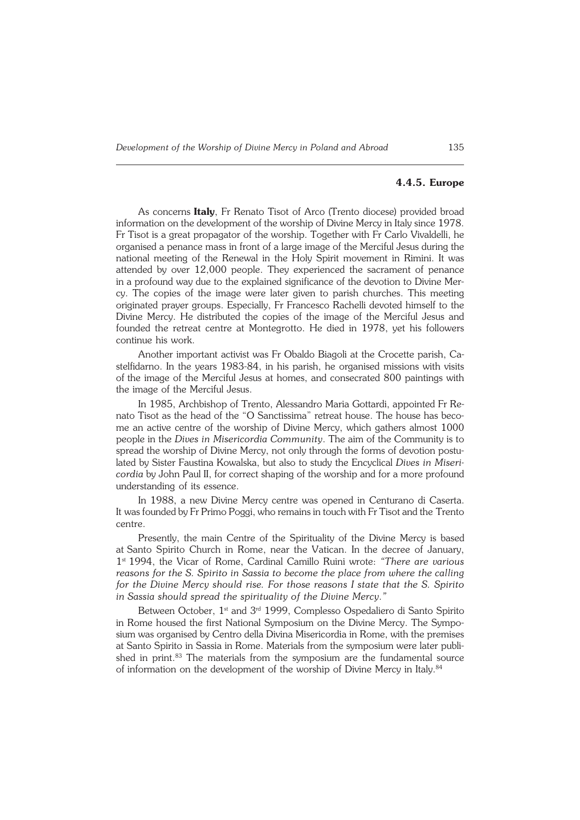#### **4.4.5. Europe**

As concerns **Italy**, Fr Renato Tisot of Arco (Trento diocese) provided broad information on the development of the worship of Divine Mercy in Italy since 1978. Fr Tisot is a great propagator of the worship. Together with Fr Carlo Vivaldelli, he organised a penance mass in front of a large image of the Merciful Jesus during the national meeting of the Renewal in the Holy Spirit movement in Rimini. It was attended by over 12,000 people. They experienced the sacrament of penance in a profound way due to the explained significance of the devotion to Divine Mer− cy. The copies of the image were later given to parish churches. This meeting originated prayer groups. Especially, Fr Francesco Rachelli devoted himself to the Divine Mercy. He distributed the copies of the image of the Merciful Jesus and founded the retreat centre at Montegrotto. He died in 1978, yet his followers continue his work.

Another important activist was Fr Obaldo Biagoli at the Crocette parish, Ca− stelfidarno. In the years 1983−84, in his parish, he organised missions with visits of the image of the Merciful Jesus at homes, and consecrated 800 paintings with the image of the Merciful Jesus.

In 1985, Archbishop of Trento, Alessandro Maria Gottardi, appointed FrRe− nato Tisot as the head of the "O Sanctissima" retreat house. The house has beco− me an active centre of the worship of Divine Mercy, which gathers almost 1000 people in the *Dives in Misericordia Community*. The aim of the Community is to spread the worship of Divine Mercy, not only through the forms of devotion postu− lated by Sister Faustina Kowalska, but also to study the Encyclical *Dives in Miseri− cordia* by John Paul II, for correct shaping of the worship and for a more profound understanding of its essence.

In 1988, a new Divine Mercy centre was opened in Centurano di Caserta. It was founded by Fr Primo Poggi, who remains in touch with Fr Tisot and the Trento centre.

Presently, the main Centre of the Spirituality of the Divine Mercy is based atSanto Spirito Church in Rome, near the Vatican. In the decree of January, 1 st1994, the Vicar of Rome, Cardinal Camillo Ruini wrote: *"There are various reasons for the S. Spirito in Sassia to become the place from where the calling for the Divine Mercy should rise. For those reasons I state that the S. Spirito inSassia should spread the spirituality of the Divine Mercy*.*"*

Between October, 1<sup>st</sup> and 3<sup>rd</sup> 1999, Complesso Ospedaliero di Santo Spirito in Rome housed the first National Symposium on the Divine Mercy. The Sympo− sium was organised by Centro della Divina Misericordia in Rome, with the premises at Santo Spirito in Sassia in Rome. Materials from the symposium were later publi− shed in print.<sup>83</sup> The materials from the symposium are the fundamental source of information on the development of the worship of Divine Mercy in Italy.<sup>84</sup>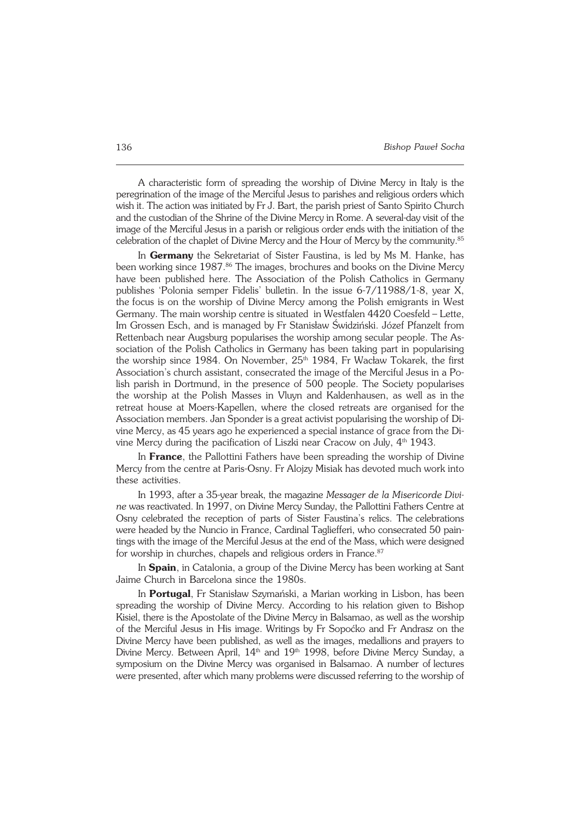A characteristic form of spreading the worship of Divine Mercy in Italy is the peregrination of the image of the Merciful Jesus to parishes and religious orders which wish it. The action was initiated by Fr J. Bart, the parish priest of Santo Spirito Church and the custodian of the Shrine of the Divine Mercy in Rome. A several-day visit of the image of the Merciful Jesus in a parish or religious order ends with the initiation of the celebration of the chaplet of Divine Mercy and the Hour of Mercy by the community.<sup>85</sup>

In **Germany** the Sekretariat of Sister Faustina, is led by Ms M. Hanke, has been working since 1987.<sup>86</sup> The images, brochures and books on the Divine Mercy have been published here. The Association of the Polish Catholics in Germany publishes 'Polonia semper Fidelis' bulletin. In the issue 6−7/11988/1−8, year X, the focus is on the worship of Divine Mercy among the Polish emigrants in West Germany. The main worship centre is situated in Westfalen 4420 Coesfeld – Lette, Im Grossen Esch, and is managed by Fr Stanisław Świdziński. Józef Pfanzelt from Rettenbach near Augsburg popularises the worship among secular people. The Association of the Polish Catholics in Germany has been taking part in popularising the worship since 1984. On November,  $25<sup>th</sup>$  1984, Fr Wacław Tokarek, the first Association's church assistant, consecrated the image of the Merciful Jesus in a Polish parish in Dortmund, in the presence of 500 people. The Society popularises the worship at the Polish Masses in Vluyn and Kaldenhausen, as well as inthe retreat house at Moers−Kapellen, where the closed retreats are organised forthe Association members. Jan Sponder is a great activist popularising the worship of Divine Mercy, as 45 years ago he experienced a special instance of grace from the Divine Mercy during the pacification of Liszki near Cracow on July,  $4<sup>th</sup>1943$ .

In **France**, the Pallottini Fathers have been spreading the worship of Divine Mercy from the centre at Paris−Osny. Fr Alojzy Misiak has devoted much work into these activities.

In 1993, after a 35−year break, the magazine *Messager de la Misericorde Divi− ne* was reactivated. In 1997, on Divine Mercy Sunday, the Pallottini Fathers Centre at Osny celebrated the reception of parts of Sister Faustina's relics. Thecelebrations were headed by the Nuncio in France, Cardinal Tagliefferi, who consecrated 50 pain− tings with the image of the Merciful Jesus at the end of the Mass, which were designed for worship in churches, chapels and religious orders in France.<sup>87</sup>

In **Spain**, in Catalonia, a group of the Divine Mercy has been working at Sant Jaime Church in Barcelona since the 1980s.

In **Portugal**, Fr Stanisław Szymański, a Marian working in Lisbon, has been spreading the worship of Divine Mercy. According to his relation given to Bishop Kisiel, there is the Apostolate of the Divine Mercy in Balsamao, as well as the worship of the Merciful Jesus in His image. Writings by Fr Sopoćko and Fr Andrasz on the Divine Mercy have been published, as well as the images, medallions and prayers to Divine Mercy. Between April,  $14<sup>th</sup>$  and  $19<sup>th</sup>$  1998, before Divine Mercy Sunday, a symposium on the Divine Mercy was organised in Balsamao. A number of lectures were presented, after which many problems were discussed referring to the worship of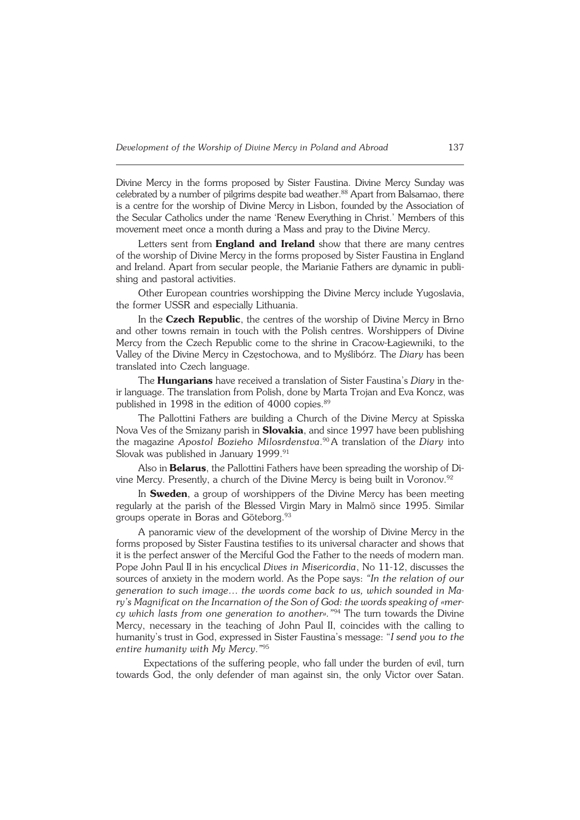Divine Mercy in the forms proposed by Sister Faustina. Divine Mercy Sunday was celebrated by a number of pilgrims despite bad weather.<sup>88</sup> Apart from Balsamao, there is a centre for the worship of Divine Mercy in Lisbon, founded by the Association of the Secular Catholics under the name 'Renew Everything inChrist.' Members of this movement meet once a month during a Mass and pray to the Divine Mercy.

Letters sent from **England and Ireland** show that there are many centres of the worship of Divine Mercy in the forms proposed by Sister Faustina in England and Ireland. Apart from secular people, the Marianie Fathers are dynamic in publi− shing and pastoral activities.

Other European countries worshipping the Divine Mercy include Yugoslavia, the former USSR and especially Lithuania.

In the **Czech Republic**, the centres of the worship of Divine Mercy in Brno and other towns remain in touch with the Polish centres. Worshippers of Divine Mercy from the Czech Republic come to the shrine in Cracow−Łagiewniki, to the Valley of the Divine Mercy in Częstochowa, and to Myślibórz. The *Diary* has been translated into Czech language.

The **Hungarians** have received a translation of Sister Faustina's *Diary* inthe− ir language. The translation from Polish, done by Marta Trojan and Eva Koncz, was published in 1998 in the edition of 4000 copies.<sup>89</sup>

The Pallottini Fathers are building a Church of the Divine Mercy at Spisska Nova Ves of the Smizany parish in **Slovakia**, and since 1997 have been publishing the magazine *Apostol Bozieho Milosrdenstva*. <sup>90</sup> A translation of the *Diary* into Slovak was published in January 1999.<sup>91</sup>

Also in **Belarus**, the Pallottini Fathers have been spreading the worship of Divine Mercy. Presently, a church of the Divine Mercy is being built in Voronov.<sup>92</sup>

In **Sweden**, a group of worshippers of the Divine Mercy has been meeting regularly at the parish of the Blessed Virgin Mary in Malmö since 1995. Similar groups operate in Boras and Göteborg.<sup>93</sup>

A panoramic view of the development of the worship of Divine Mercy in the forms proposed by Sister Faustina testifies to its universal character and shows that it is the perfect answer of the Merciful God the Father to the needs of modern man. Pope John Paul II in his encyclical *Dives in Misericordia*, No 11−12, discusses the sources of anxiety in the modern world. As the Pope says: *"In the relation of our generation to such image… the words come back to us, which sounded in Ma− ry's Magnificat on the Incarnation of the Son of God: the words speaking of«mer− cy which lasts from one generation to another»."*94 The turn towards the Divine Mercy, necessary in the teaching of John Paul II, coincides with the calling to humanity's trust in God, expressed in Sister Faustina's message: "*I send you to the entire humanity with My Mercy*.*"* 95

Expectations of the suffering people, who fall under the burden of evil, turn towards God, the only defender of man against sin, the only Victor over Satan.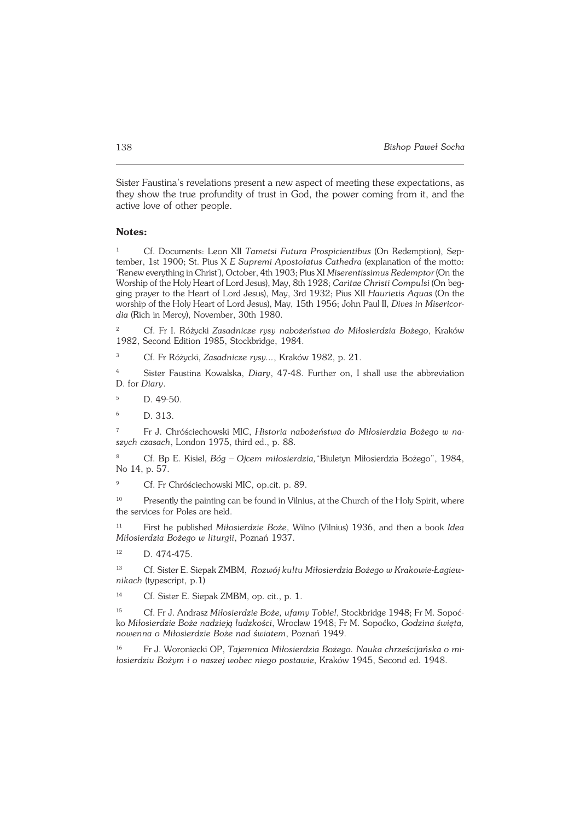Sister Faustina's revelations present a new aspect of meeting these expectations, as they show the true profundity of trust in God, the power coming from it, and the active love of other people.

#### **Notes:**

<sup>1</sup> Cf. Documents: Leon XII *Tametsi Futura Prospicientibus* (On Redemption), Sep− tember, 1st 1900; St. Pius X *E Supremi Apostolatus Cathedra* (explanation of the motto: 'Renew everything in Christ'), October, 4th 1903; Pius XI *Miserentissimus Redemptor* (Onthe Worship of the Holy Heart of Lord Jesus), May, 8th 1928; *Caritae Christi Compulsi* (Onbeg− ging prayer to the Heart of Lord Jesus), May, 3rd 1932; Pius XII *Haurietis Aquas* (On the worship of the Holy Heart of Lord Jesus), May, 15th 1956; John Paul II, *Dives in Misericor− dia* (Rich in Mercy), November, 30th 1980.

<sup>2</sup> Cf. Fr I. Różycki *Zasadnicze rysy nabożeństwa do Miłosierdzia Bożego*, Kraków 1982, Second Edition 1985, Stockbridge, 1984.

<sup>3</sup> Cf. Fr Różycki, *Zasadnicze rysy...*, Kraków 1982, p. 21.

<sup>4</sup> Sister Faustina Kowalska, *Diary*, 47−48. Further on, I shall use the abbreviation D.for*Diary*.

<sup>5</sup> D. 49−50.

<sup>6</sup> D. 313.

<sup>7</sup> Fr J. Chróściechowski MIC, *Historia nabożeństwa do Miłosierdzia Bożego w na− szych czasach*, London 1975, third ed., p. 88.

<sup>8</sup> Cf. Bp E. Kisiel, *Bóg – Ojcem miłosierdzia,*"Biuletyn Miłosierdzia Bożego", 1984, No 14, p. 57.

<sup>9</sup> Cf. Fr Chróściechowski MIC, op.cit. p. 89.

<sup>10</sup> Presently the painting can be found in Vilnius, at the Church of the Holy Spirit, where the services for Poles are held.

<sup>11</sup> First he published *Miłosierdzie Boże*, Wilno (Vilnius) 1936, and then a book *Idea Miłosierdzia Bożego w liturgii*, Poznań 1937.

12 D. 474-475.

<sup>13</sup> Cf. Sister E. Siepak ZMBM, *Rozwój kultu Miłosierdzia Bożego w Krakowie−Łagiew− nikach* (typescript, p.1)

<sup>14</sup> Cf. Sister E. Siepak ZMBM, op. cit., p. 1.

<sup>15</sup> Cf. Fr J. Andrasz *Miłosierdzie Boże, ufamy Tobie!*, Stockbridge 1948; Fr M. Sopoć− ko *Miłosierdzie Boże nadzieją ludzkości*, Wrocław 1948; Fr M. Sopoćko, *Godzina święta, nowenna o Miłosierdzie Boże nad światem*, Poznań 1949.

<sup>16</sup> Fr J. Woroniecki OP, *Tajemnica Miłosierdzia Bożego. Nauka chrześcijańska o mi− łosierdziu Bożym i o naszej wobec niego postawie*, Kraków 1945, Second ed. 1948.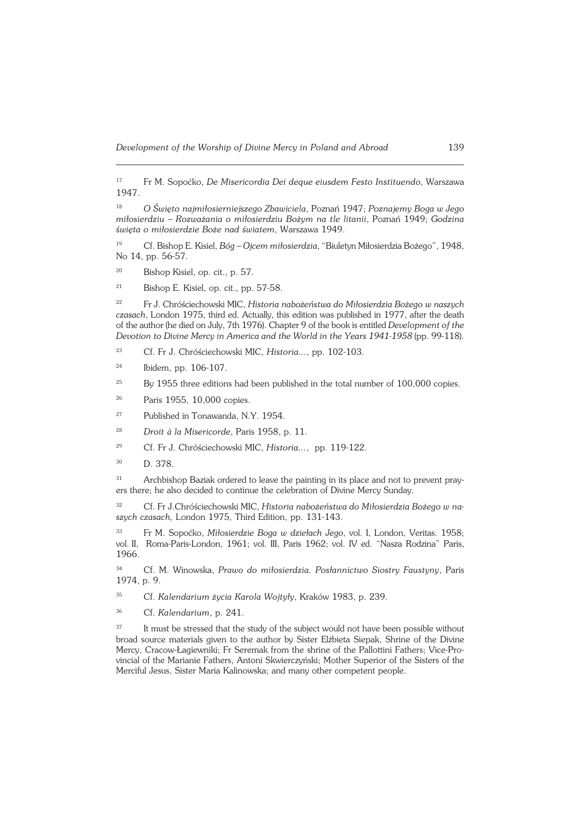<sup>17</sup> Fr M. Sopoćko, *De Misericordia Dei deque eiusdem Festo Instituendo*, Warszawa 1947.

<sup>18</sup> *O Święto najmiłosierniejszego Zbawiciela*, Poznań 1947; *Poznajemy Boga w Jego miłosierdziu – Rozważania o miłosierdziu Bożym na tle litanii*, Poznań 1949; *Godzina święta o miłosierdzie Boże nad światem*, Warszawa 1949.

<sup>19</sup> Cf. Bishop E. Kisiel, *Bóg – Ojcem miłosierdzia*, "Biuletyn Miłosierdzia Bożego", 1948, No 14, pp. 56−57.

<sup>20</sup> Bishop Kisiel, op. cit., p. 57.

<sup>21</sup> Bishop E. Kisiel, op. cit., pp. 57−58.

<sup>22</sup> Fr J. Chróściechowski MIC, *Historia nabożeństwa do Miłosierdzia Bożego w naszych czasach*, London 1975, third ed. Actually, this edition was published in 1977, after the death of the author (he died on July, 7th 1976). Chapter 9 of the book is entitled *Development of the Devotion to Divine Mercy in America and the World in the Years 1941−1958* (pp. 99−118).

<sup>23</sup> Cf. Fr J. Chróściechowski MIC, *Historia...*, pp. 102−103.

<sup>24</sup> Ibidem, pp. 106−107.

 $25$  By 1955 three editions had been published in the total number of 100,000 copies.

<sup>26</sup> Paris 1955, 10,000 copies.

<sup>27</sup> Published in Tonawanda, N.Y. 1954.

<sup>28</sup> *Droit à la Misericorde*, Paris 1958, p. 11.

<sup>29</sup> Cf. Fr J. Chróściechowski MIC, *Historia...*, pp. 119−122.

<sup>30</sup> D. 378.

31 Archbishop Baziak ordered to leave the painting in its place and not to prevent prayers there; he also decided to continue the celebration of Divine Mercy Sunday.

<sup>32</sup> Cf. Fr J.Chróściechowski MIC, *Historia nabożeństwa do Miłosierdzia Bożego wna− szych czasach,* London 1975, Third Edition, pp. 131−143.

<sup>33</sup> Fr M. Sopoćko, *Miłosierdzie Boga w dziełach Jego*, vol. I, London, Veritas. 1958; vol.II, Roma−Paris−London, 1961; vol. III, Paris 1962; vol. IV ed. "Nasza Rodzina" Paris, 1966.

<sup>34</sup> Cf. M. Winowska, *Prawo do miłosierdzia. Posłannictwo Siostry Faustyny*, Paris 1974, p. 9.

<sup>35</sup> Cf. *Kalendarium życia Karola Wojtyły*, Kraków 1983, p. 239.

<sup>36</sup> Cf. *Kalendarium*, p. 241.

<sup>37</sup> It must be stressed that the study of the subject would not have been possible without broad source materials given to the author by Sister Elżbieta Siepak, Shrine of the Divine Mercy, Cracow−Łagiewniki; Fr Seremak from the shrine of the Pallottini Fathers; Vice−Pro− vincial of the Marianie Fathers, Antoni Skwierczyński; Mother Superior of the Sisters of the Merciful Jesus, Sister Maria Kalinowska; and many other competent people.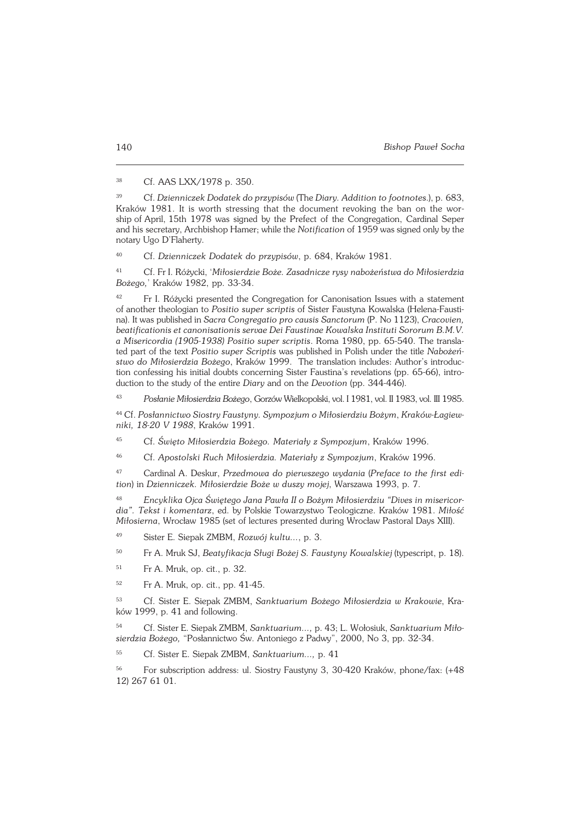<sup>38</sup> Cf. AAS LXX/1978 p. 350.

<sup>39</sup> Cf. *Dzienniczek Dodatek do przypisów* (The *Diary. Addition to footnotes*.), p.683, Kraków 1981. It is worth stressing that the document revoking the ban on the wor− shipofApril,15th 1978 was signed by the Prefect of the Congregation, Cardinal Seper and his secretary, Archbishop Hamer; while the *Notification* of 1959 was signed only by the notary Ugo D'Flaherty.

<sup>40</sup> Cf. *Dzienniczek Dodatek do przypisów*, p. 684, Kraków 1981.

<sup>41</sup> Cf. Fr I. Różycki, '*Miłosierdzie Boże. Zasadnicze rysy nabożeństwa do Miłosierdzia Bożego,*' Kraków 1982, pp. 33−34.

<sup>42</sup> Fr I. Różycki presented the Congregation for Canonisation Issues with a statement ofanother theologian to *Positio super scriptis* of Sister Faustyna Kowalska (Helena−Fausti− na). It was published in *Sacra Congregatio pro causis Sanctorum* (P. No 1123), *Cracovien, beatificationis et canonisationis servae Dei Faustinae Kowalska Instituti Sororum B.M.V. a Misericordia (1905−1938) Positio super scriptis*. Roma 1980, pp. 65−540. The transla− ted part of the text *Positio super Scriptis* was published in Polish under the title *Nabożeń− stwo do Miłosierdzia Bożego*, Kraków 1999. The translation includes: Author's introduc− tion confessing his initial doubts concerning Sister Faustina's revelations (pp. 65−66), intro− duction to the study of the entire *Diary* and on the *Devotion* (pp. 344−446).

<sup>43</sup> *Posłanie Miłosierdzia Bożego*, Gorzów Wielkopolski, vol. I 1981, vol. II 1983, vol.III 1985.

<sup>44</sup> Cf. *Posłannictwo Siostry Faustyny. Sympozjum o Miłosierdziu Bożym*, *Kraków−Łagiew− niki, 18−20 V 1988*, Kraków 1991.

<sup>45</sup> Cf. *Święto Miłosierdzia Bożego. Materiały z Sympozjum*, Kraków 1996.

<sup>46</sup> Cf. *Apostolski Ruch Miłosierdzia. Materiały z Sympozjum*, Kraków 1996.

<sup>47</sup> Cardinal A. Deskur, *Przedmowa do pierwszego wydania* (*Preface to the first edi− tion*) in *Dzienniczek. Miłosierdzie Boże w duszy mojej*, Warszawa 1993, p. 7.

<sup>48</sup> *Encyklika Ojca Świętego Jana Pawła II o Bożym Miłosierdziu "Dives in misericor− dia". Tekst i komentarz*, ed. by Polskie Towarzystwo Teologiczne. Kraków 1981. *Miłość Miłosierna*, Wrocław 1985 (set of lectures presented during Wrocław Pastoral Days XIII).

- <sup>49</sup> Sister E. Siepak ZMBM, *Rozwój kultu...*, p. 3.
- <sup>50</sup> Fr A. Mruk SJ, *Beatyfikacja Sługi Bożej S. Faustyny Kowalskiej* (typescript, p. 18).
- <sup>51</sup> Fr A. Mruk, op. cit., p. 32.
- <sup>52</sup> Fr A. Mruk, op. cit., pp. 41−45.

<sup>53</sup> Cf. Sister E. Siepak ZMBM, *Sanktuarium Bożego Miłosierdzia w Krakowie*, Kra− ków 1999, p. 41 and following.

<sup>54</sup> Cf. Sister E. Siepak ZMBM, *Sanktuarium...,* p. 43; L. Wołosiuk, *Sanktuarium Miło− sierdzia Bożego,* "Posłannictwo Św. Antoniego z Padwy", 2000, No 3, pp. 32−34.

<sup>55</sup> Cf. Sister E. Siepak ZMBM, *Sanktuarium...,* p. 41

<sup>56</sup> For subscription address: ul. Siostry Faustyny 3, 30−420 Kraków, phone/fax: (+48 12) 267 61 01.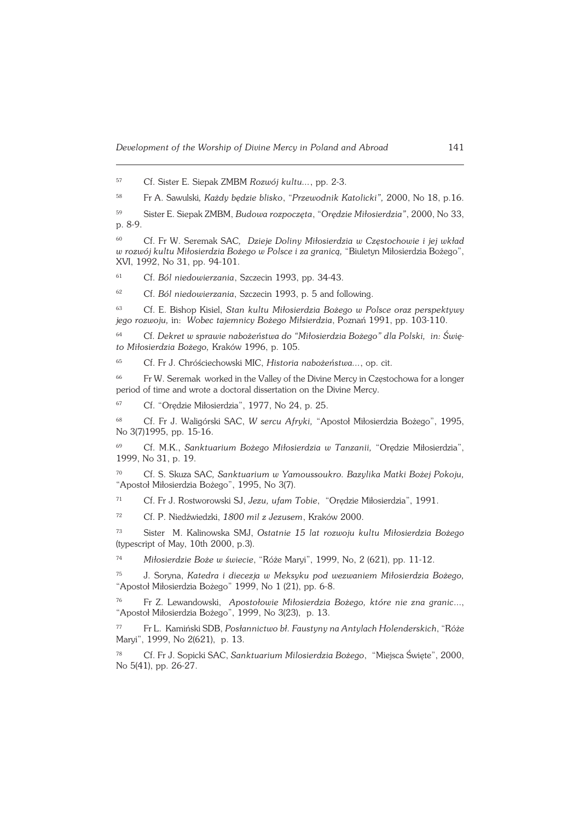<sup>57</sup> Cf. Sister E. Siepak ZMBM *Rozwój kultu...*, pp. 2−3.

<sup>58</sup> Fr A. Sawulski*, Każdy będzie blisko*, "*Przewodnik Katolicki",* 2000, No 18, p.16.

<sup>59</sup> Sister E. Siepak ZMBM, *Budowa rozpoczęta*, "O*rędzie Miłosierdzia"*, 2000, No33, p. 8−9.

<sup>60</sup> Cf. Fr W. Seremak SAC*, Dzieje Doliny Miłosierdzia w Częstochowie i jej wkład wrozwój kultu Miłosierdzia Bożego w Polsce i za granicą,* "Biuletyn Miłosierdzia Bożego", XVI, 1992, No 31, pp. 94−101.

<sup>61</sup> Cf. *Ból niedowierzania*, Szczecin 1993, pp. 34−43.

<sup>62</sup> Cf. *Ból niedowierzania*, Szczecin 1993, p. 5 and following.

<sup>63</sup> Cf. E. Bishop Kisiel, *Stan kultu Miłosierdzia Bożego w Polsce oraz perspektywy jego rozwoju,* in: *Wobec tajemnicy Bożego Miłsierdzia*, Poznań 1991, pp. 103−110.

<sup>64</sup> Cf*. Dekret w sprawie nabożeństwa do "Miłosierdzia Bożego" dla Polski, in: Świę− to Miłosierdzia Bożego,* Kraków 1996, p. 105.

<sup>65</sup> Cf. Fr J. Chróściechowski MIC, *Historia nabożeństwa...*, op. cit.

<sup>66</sup> Fr W. Seremak worked in the Valley of the Divine Mercy in Częstochowa for a longer period of time and wrote a doctoral dissertation on the Divine Mercy.

<sup>67</sup> Cf. "Orędzie Miłosierdzia", 1977, No 24, p. 25.

<sup>68</sup> Cf. Fr J. Waligórski SAC, *W sercu Afryki,* "Apostoł Miłosierdzia Bożego", 1995, No 3(7)1995, pp. 15-16.

<sup>69</sup> Cf. M.K., *Sanktuarium Bożego Miłosierdzia w Tanzanii,* "Orędzie Miłosierdzia", 1999, No 31, p. 19.

<sup>70</sup> Cf. S. Skuza SAC*, Sanktuarium w Yamoussoukro. Bazylika Matki Bożej Pokoju,* "Apostoł Miłosierdzia Bożego", 1995, No 3(7).

<sup>71</sup> Cf. Fr J. Rostworowski SJ, *Jezu, ufam Tobie*, "Orędzie Miłosierdzia", 1991.

<sup>72</sup> Cf. P. Niedźwiedzki, *1800 mil z Jezusem*, Kraków 2000.

<sup>73</sup> Sister M. Kalinowska SMJ, *Ostatnie 15 lat rozwoju kultu Miłosierdzia Bożego* (typescript of May, 10th 2000, p.3).

<sup>74</sup> *Miłosierdzie Boże w świecie*, "Róże Maryi", 1999, No, 2 (621), pp. 11−12.

<sup>75</sup> J. Soryna, *Katedra i diecezja w Meksyku pod wezwaniem Miłosierdzia Bożego,* "Apostoł Miłosierdzia Bożego" 1999, No 1 (21), pp. 6−8.

<sup>76</sup> Fr Z. Lewandowski, *Apostołowie Miłosierdzia Bożego, które nie zna granic*..., "Apostoł Miłosierdzia Bożego", 1999, No 3(23), p. 13.

<sup>77</sup> Fr L. Kamiński SDB, *Posłannictwo bł. Faustyny na Antylach Holenderskich*, "Róże Maryi", 1999, No 2(621), p. 13.

<sup>78</sup> Cf. Fr J. Sopicki SAC, *Sanktuarium Milosierdzia Bożego*, "Miejsca Święte", 2000, No 5(41), pp. 26−27.